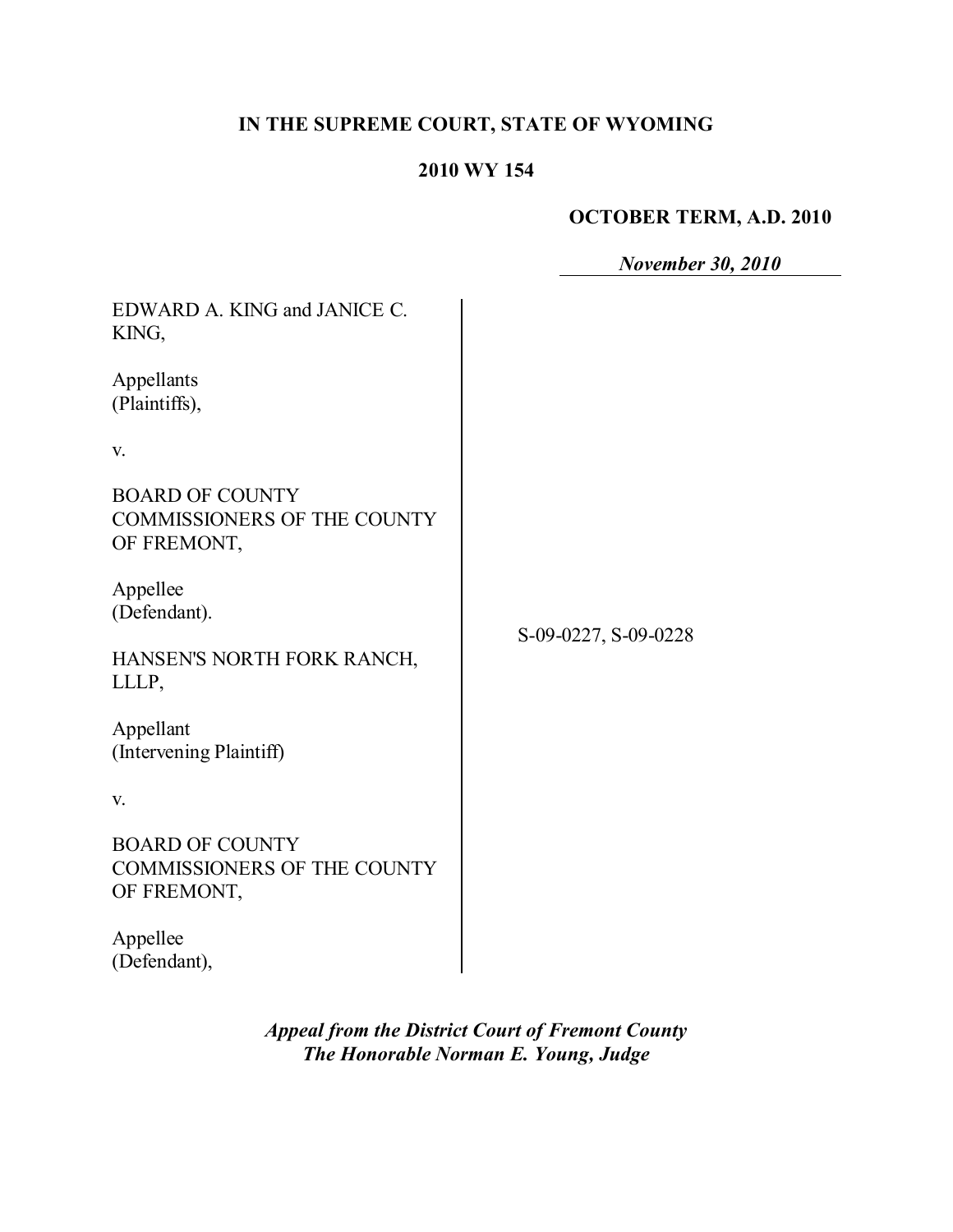# **IN THE SUPREME COURT, STATE OF WYOMING**

## **2010 WY 154**

# **OCTOBER TERM, A.D. 2010**

*November 30, 2010*

| EDWARD A. KING and JANICE C.<br>KING,                                       |                      |
|-----------------------------------------------------------------------------|----------------------|
| Appellants<br>(Plaintiffs),                                                 |                      |
| V.                                                                          |                      |
| <b>BOARD OF COUNTY</b><br><b>COMMISSIONERS OF THE COUNTY</b><br>OF FREMONT, | S-09-0227, S-09-0228 |
| Appellee<br>(Defendant).                                                    |                      |
| HANSEN'S NORTH FORK RANCH,<br>LLLP,                                         |                      |
| Appellant<br>(Intervening Plaintiff)                                        |                      |
| V.                                                                          |                      |
| <b>BOARD OF COUNTY</b><br><b>COMMISSIONERS OF THE COUNTY</b><br>OF FREMONT, |                      |
| Appellee<br>(Defendant),                                                    |                      |

*Appeal from the District Court of Fremont County The Honorable Norman E. Young, Judge*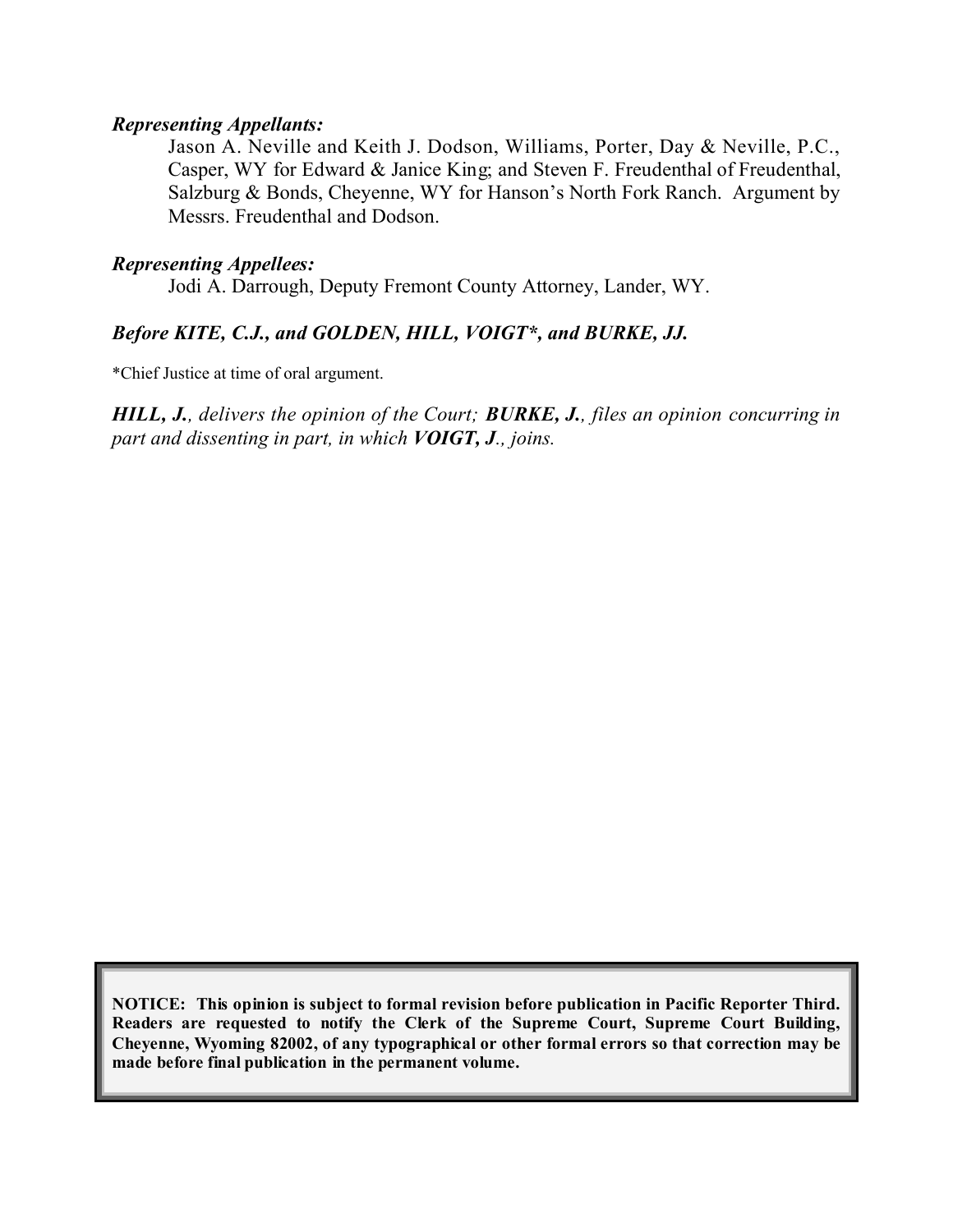### *Representing Appellants:*

Jason A. Neville and Keith J. Dodson, Williams, Porter, Day & Neville, P.C., Casper, WY for Edward & Janice King; and Steven F. Freudenthal of Freudenthal, Salzburg & Bonds, Cheyenne, WY for Hanson's North Fork Ranch. Argument by Messrs. Freudenthal and Dodson.

## *Representing Appellees:*

Jodi A. Darrough, Deputy Fremont County Attorney, Lander, WY.

## *Before KITE, C.J., and GOLDEN, HILL, VOIGT\*, and BURKE, JJ.*

\*Chief Justice at time of oral argument.

*HILL, J., delivers the opinion of the Court; BURKE, J., files an opinion concurring in part and dissenting in part, in which VOIGT, J., joins.*

**NOTICE: This opinion is subject to formal revision before publication in Pacific Reporter Third. Readers are requested to notify the Clerk of the Supreme Court, Supreme Court Building, Cheyenne, Wyoming 82002, of any typographical or other formal errors so that correction may be made before final publication in the permanent volume.**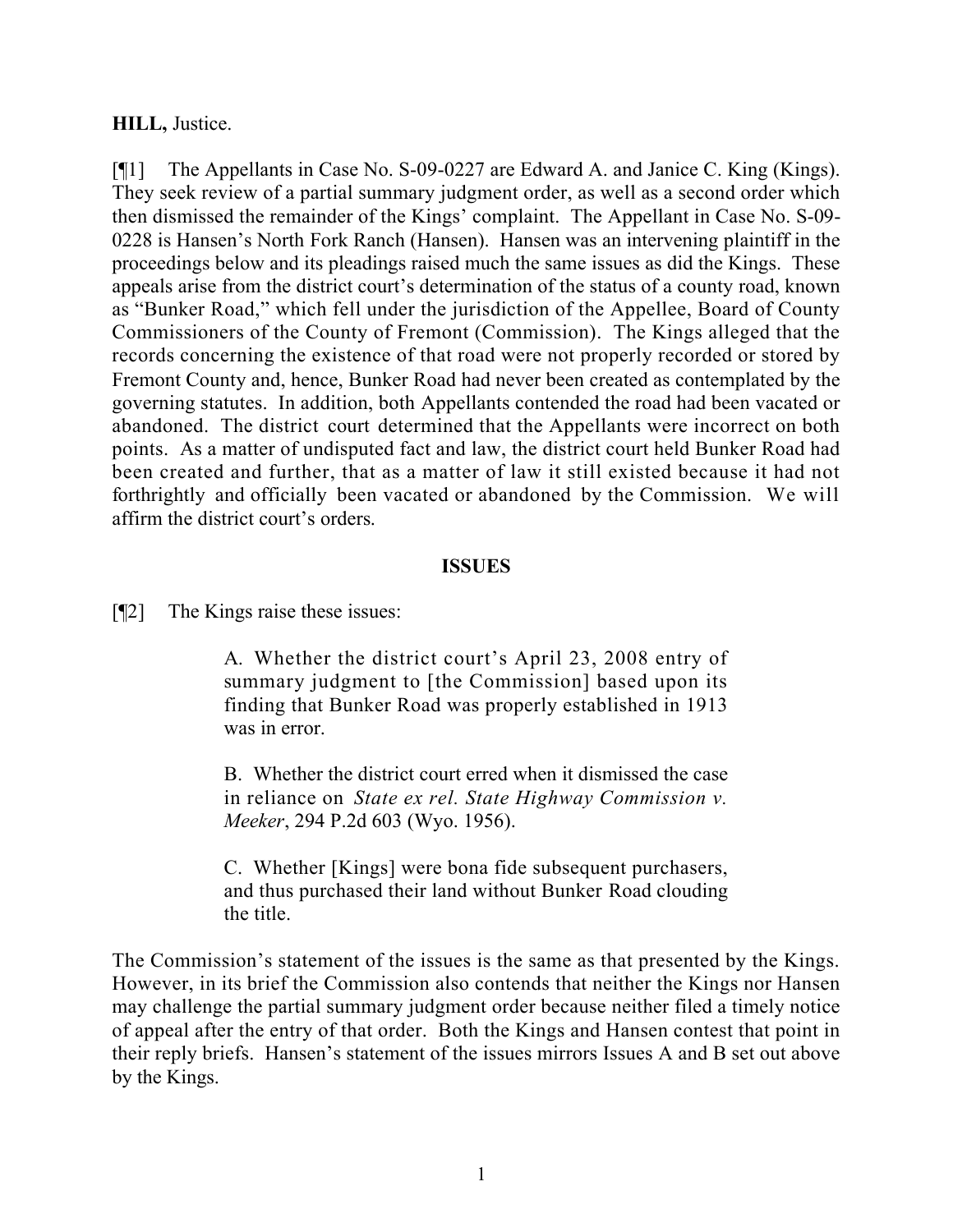## **HILL,** Justice.

[¶1] The Appellants in Case No. S-09-0227 are Edward A. and Janice C. King (Kings). They seek review of a partial summary judgment order, as well as a second order which then dismissed the remainder of the Kings' complaint. The Appellant in Case No. S-09- 0228 is Hansen's North Fork Ranch (Hansen). Hansen was an intervening plaintiff in the proceedings below and its pleadings raised much the same issues as did the Kings. These appeals arise from the district court's determination of the status of a county road, known as "Bunker Road," which fell under the jurisdiction of the Appellee, Board of County Commissioners of the County of Fremont (Commission). The Kings alleged that the records concerning the existence of that road were not properly recorded or stored by Fremont County and, hence, Bunker Road had never been created as contemplated by the governing statutes. In addition, both Appellants contended the road had been vacated or abandoned. The district court determined that the Appellants were incorrect on both points. As a matter of undisputed fact and law, the district court held Bunker Road had been created and further, that as a matter of law it still existed because it had not forthrightly and officially been vacated or abandoned by the Commission. We will affirm the district court's orders.

### **ISSUES**

[¶2] The Kings raise these issues:

A. Whether the district court's April 23, 2008 entry of summary judgment to [the Commission] based upon its finding that Bunker Road was properly established in 1913 was in error.

B. Whether the district court erred when it dismissed the case in reliance on *State ex rel. State Highway Commission v. Meeker*, 294 P.2d 603 (Wyo. 1956).

C. Whether [Kings] were bona fide subsequent purchasers, and thus purchased their land without Bunker Road clouding the title.

The Commission's statement of the issues is the same as that presented by the Kings. However, in its brief the Commission also contends that neither the Kings nor Hansen may challenge the partial summary judgment order because neither filed a timely notice of appeal after the entry of that order. Both the Kings and Hansen contest that point in their reply briefs. Hansen's statement of the issues mirrors Issues A and B set out above by the Kings.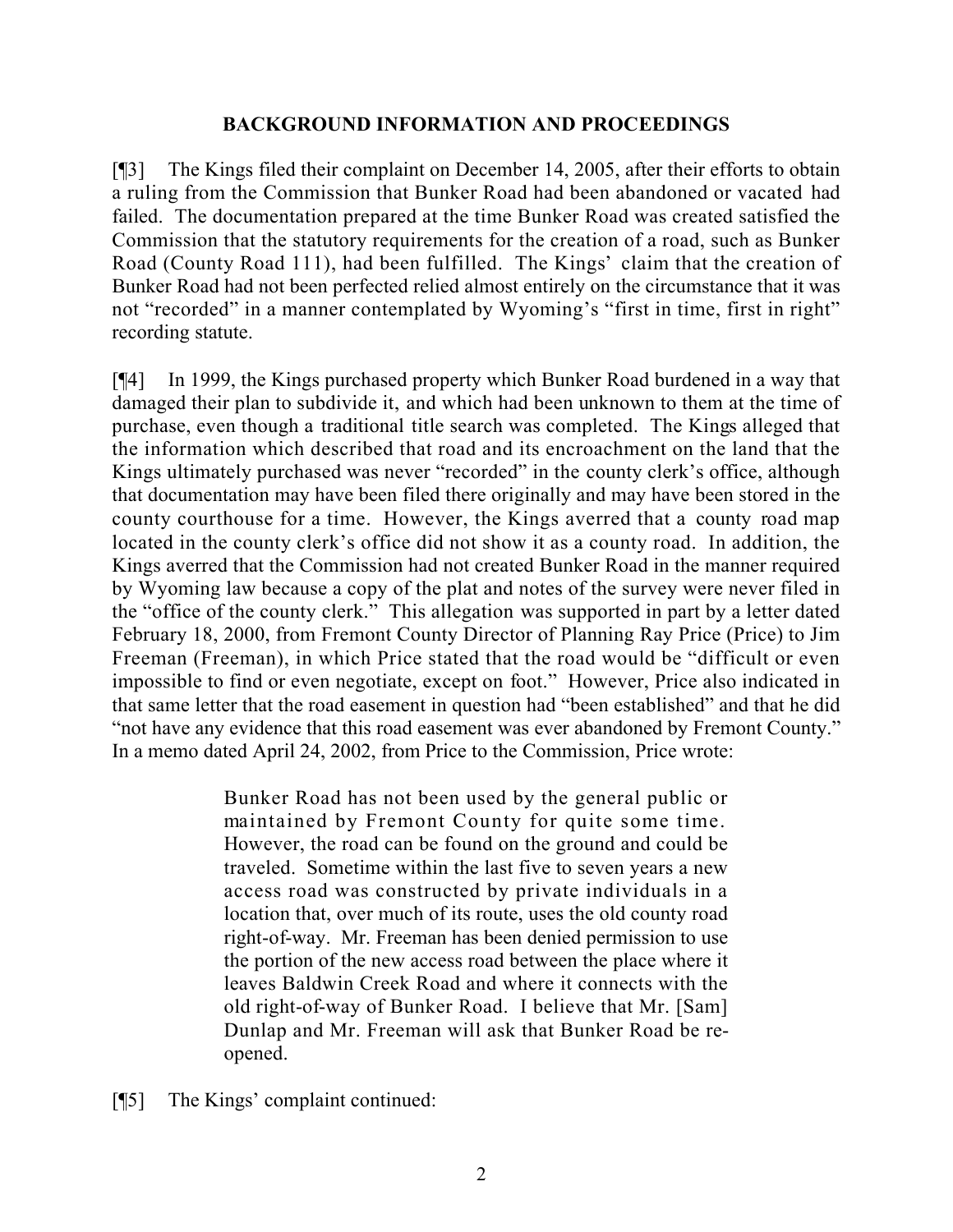## **BACKGROUND INFORMATION AND PROCEEDINGS**

[¶3] The Kings filed their complaint on December 14, 2005, after their efforts to obtain a ruling from the Commission that Bunker Road had been abandoned or vacated had failed. The documentation prepared at the time Bunker Road was created satisfied the Commission that the statutory requirements for the creation of a road, such as Bunker Road (County Road 111), had been fulfilled. The Kings' claim that the creation of Bunker Road had not been perfected relied almost entirely on the circumstance that it was not "recorded" in a manner contemplated by Wyoming's "first in time, first in right" recording statute.

[¶4] In 1999, the Kings purchased property which Bunker Road burdened in a way that damaged their plan to subdivide it, and which had been unknown to them at the time of purchase, even though a traditional title search was completed. The Kings alleged that the information which described that road and its encroachment on the land that the Kings ultimately purchased was never "recorded" in the county clerk's office, although that documentation may have been filed there originally and may have been stored in the county courthouse for a time. However, the Kings averred that a county road map located in the county clerk's office did not show it as a county road. In addition, the Kings averred that the Commission had not created Bunker Road in the manner required by Wyoming law because a copy of the plat and notes of the survey were never filed in the "office of the county clerk." This allegation was supported in part by a letter dated February 18, 2000, from Fremont County Director of Planning Ray Price (Price) to Jim Freeman (Freeman), in which Price stated that the road would be "difficult or even impossible to find or even negotiate, except on foot." However, Price also indicated in that same letter that the road easement in question had "been established" and that he did "not have any evidence that this road easement was ever abandoned by Fremont County." In a memo dated April 24, 2002, from Price to the Commission, Price wrote:

> Bunker Road has not been used by the general public or maintained by Fremont County for quite some time. However, the road can be found on the ground and could be traveled. Sometime within the last five to seven years a new access road was constructed by private individuals in a location that, over much of its route, uses the old county road right-of-way. Mr. Freeman has been denied permission to use the portion of the new access road between the place where it leaves Baldwin Creek Road and where it connects with the old right-of-way of Bunker Road. I believe that Mr. [Sam] Dunlap and Mr. Freeman will ask that Bunker Road be reopened.

[¶5] The Kings' complaint continued: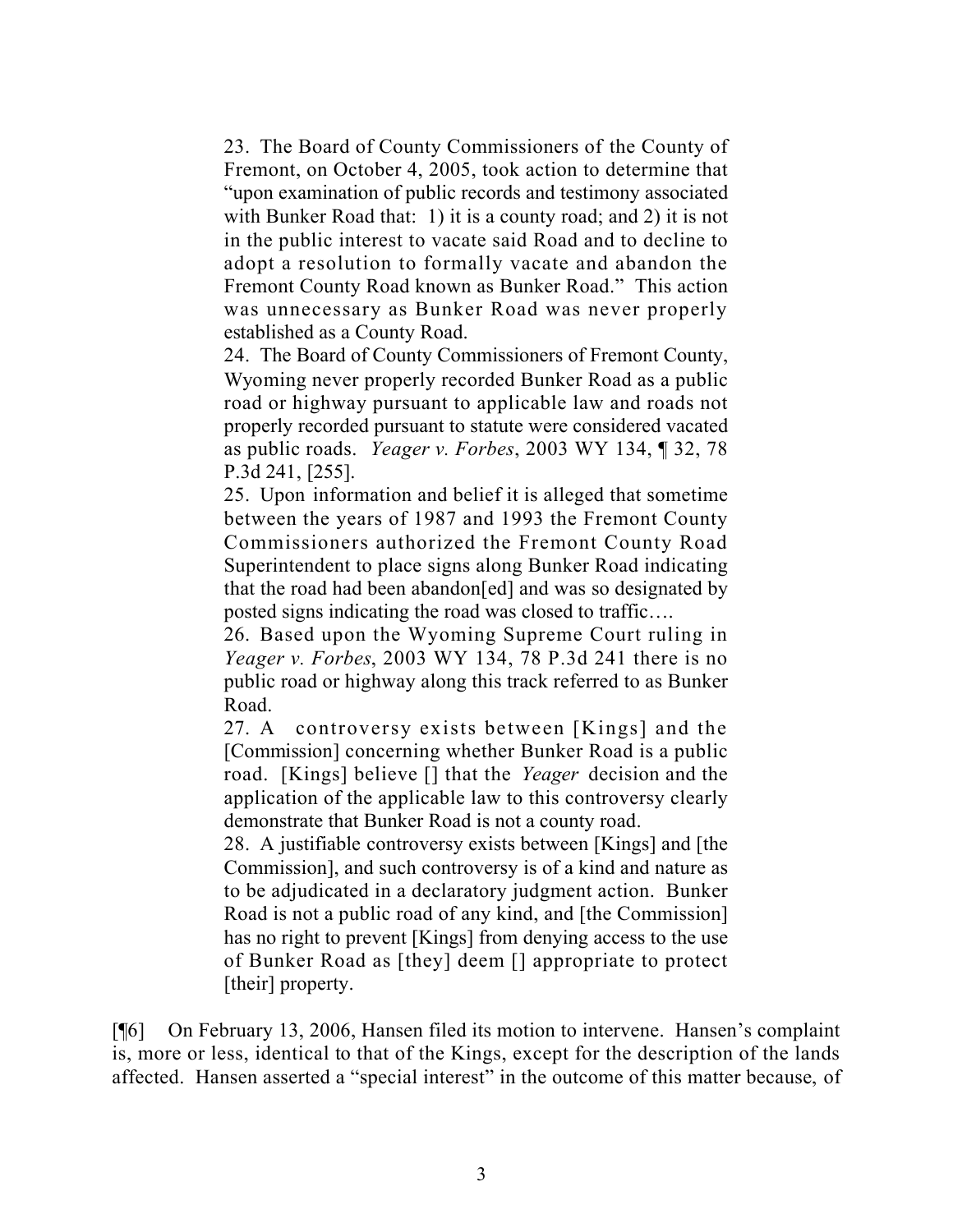23. The Board of County Commissioners of the County of Fremont, on October 4, 2005, took action to determine that "upon examination of public records and testimony associated with Bunker Road that: 1) it is a county road; and 2) it is not in the public interest to vacate said Road and to decline to adopt a resolution to formally vacate and abandon the Fremont County Road known as Bunker Road." This action was unnecessary as Bunker Road was never properly established as a County Road.

24. The Board of County Commissioners of Fremont County, Wyoming never properly recorded Bunker Road as a public road or highway pursuant to applicable law and roads not properly recorded pursuant to statute were considered vacated as public roads. *Yeager v. Forbes*, 2003 WY 134, ¶ 32, 78 P.3d 241, [255].

25. Upon information and belief it is alleged that sometime between the years of 1987 and 1993 the Fremont County Commissioners authorized the Fremont County Road Superintendent to place signs along Bunker Road indicating that the road had been abandon[ed] and was so designated by posted signs indicating the road was closed to traffic….

26. Based upon the Wyoming Supreme Court ruling in *Yeager v. Forbes*, 2003 WY 134, 78 P.3d 241 there is no public road or highway along this track referred to as Bunker Road.

27. A controversy exists between [Kings] and the [Commission] concerning whether Bunker Road is a public road. [Kings] believe [] that the *Yeager* decision and the application of the applicable law to this controversy clearly demonstrate that Bunker Road is not a county road.

28. A justifiable controversy exists between [Kings] and [the Commission], and such controversy is of a kind and nature as to be adjudicated in a declaratory judgment action. Bunker Road is not a public road of any kind, and [the Commission] has no right to prevent [Kings] from denying access to the use of Bunker Road as [they] deem [] appropriate to protect [their] property.

[¶6] On February 13, 2006, Hansen filed its motion to intervene. Hansen's complaint is, more or less, identical to that of the Kings, except for the description of the lands affected. Hansen asserted a "special interest" in the outcome of this matter because, of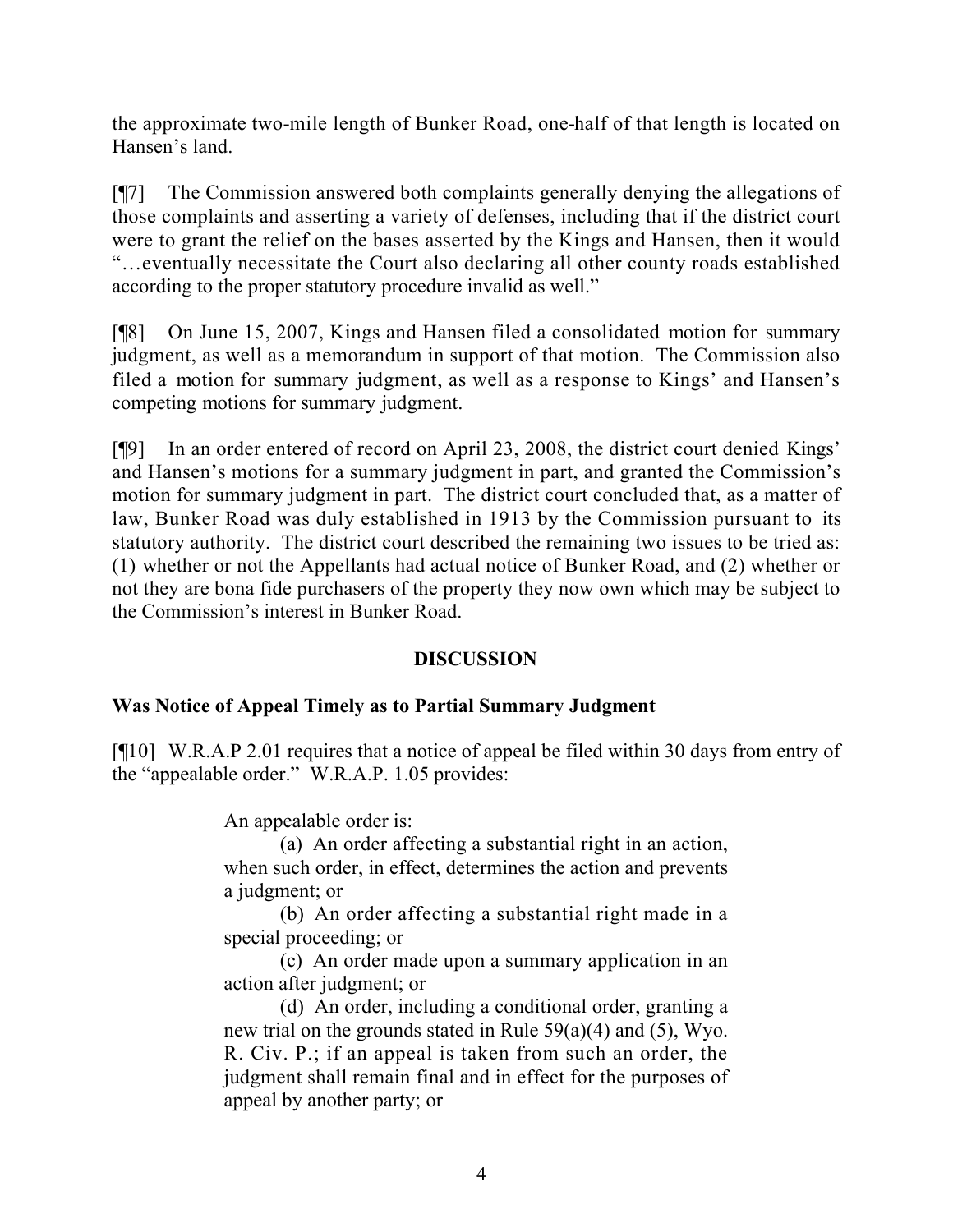the approximate two-mile length of Bunker Road, one-half of that length is located on Hansen's land.

[¶7] The Commission answered both complaints generally denying the allegations of those complaints and asserting a variety of defenses, including that if the district court were to grant the relief on the bases asserted by the Kings and Hansen, then it would "…eventually necessitate the Court also declaring all other county roads established according to the proper statutory procedure invalid as well."

[¶8] On June 15, 2007, Kings and Hansen filed a consolidated motion for summary judgment, as well as a memorandum in support of that motion. The Commission also filed a motion for summary judgment, as well as a response to Kings' and Hansen's competing motions for summary judgment.

[¶9] In an order entered of record on April 23, 2008, the district court denied Kings' and Hansen's motions for a summary judgment in part, and granted the Commission's motion for summary judgment in part. The district court concluded that, as a matter of law, Bunker Road was duly established in 1913 by the Commission pursuant to its statutory authority. The district court described the remaining two issues to be tried as: (1) whether or not the Appellants had actual notice of Bunker Road, and (2) whether or not they are bona fide purchasers of the property they now own which may be subject to the Commission's interest in Bunker Road.

## **DISCUSSION**

## **Was Notice of Appeal Timely as to Partial Summary Judgment**

[¶10] W.R.A.P 2.01 requires that a notice of appeal be filed within 30 days from entry of the "appealable order." W.R.A.P. 1.05 provides:

An appealable order is:

(a) An order affecting a substantial right in an action, when such order, in effect, determines the action and prevents a judgment; or

(b) An order affecting a substantial right made in a special proceeding; or

(c) An order made upon a summary application in an action after judgment; or

(d) An order, including a conditional order, granting a new trial on the grounds stated in Rule 59(a)(4) and (5), Wyo. R. Civ. P.; if an appeal is taken from such an order, the judgment shall remain final and in effect for the purposes of appeal by another party; or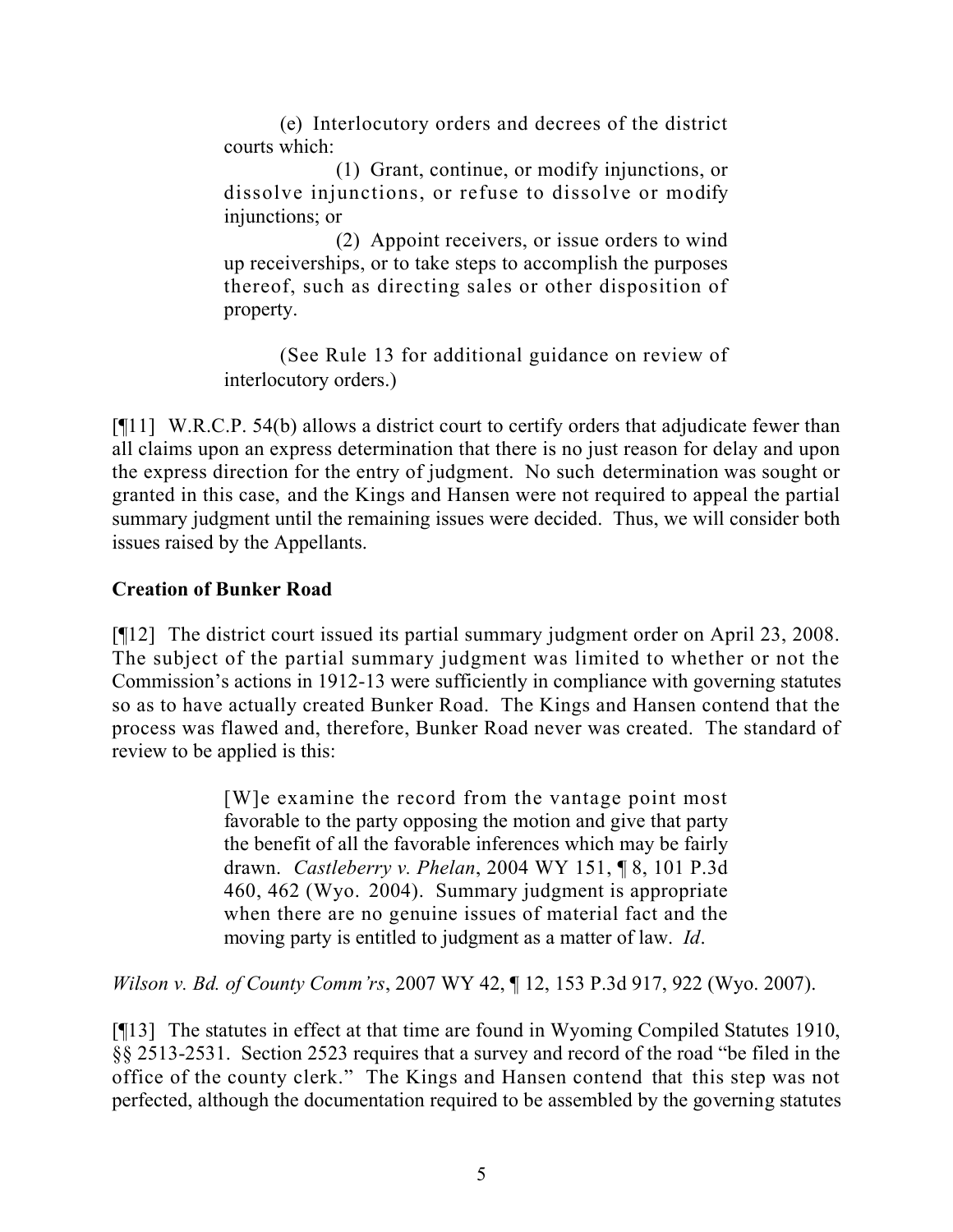(e) Interlocutory orders and decrees of the district courts which:

(1) Grant, continue, or modify injunctions, or dissolve injunctions, or refuse to dissolve or modify injunctions; or

(2) Appoint receivers, or issue orders to wind up receiverships, or to take steps to accomplish the purposes thereof, such as directing sales or other disposition of property.

(See Rule 13 for additional guidance on review of interlocutory orders.)

[¶11] W.R.C.P. 54(b) allows a district court to certify orders that adjudicate fewer than all claims upon an express determination that there is no just reason for delay and upon the express direction for the entry of judgment. No such determination was sought or granted in this case, and the Kings and Hansen were not required to appeal the partial summary judgment until the remaining issues were decided. Thus, we will consider both issues raised by the Appellants.

## **Creation of Bunker Road**

[¶12] The district court issued its partial summary judgment order on April 23, 2008. The subject of the partial summary judgment was limited to whether or not the Commission's actions in 1912-13 were sufficiently in compliance with governing statutes so as to have actually created Bunker Road. The Kings and Hansen contend that the process was flawed and, therefore, Bunker Road never was created. The standard of review to be applied is this:

> [W]e examine the record from the vantage point most favorable to the party opposing the motion and give that party the benefit of all the favorable inferences which may be fairly drawn. *Castleberry v. Phelan*, 2004 WY 151, ¶ 8, 101 P.3d 460, 462 (Wyo. 2004). Summary judgment is appropriate when there are no genuine issues of material fact and the moving party is entitled to judgment as a matter of law. *Id*.

*Wilson v. Bd. of County Comm'rs*, 2007 WY 42, ¶ 12, 153 P.3d 917, 922 (Wyo. 2007).

[¶13] The statutes in effect at that time are found in Wyoming Compiled Statutes 1910, §§ 2513-2531. Section 2523 requires that a survey and record of the road "be filed in the office of the county clerk." The Kings and Hansen contend that this step was not perfected, although the documentation required to be assembled by the governing statutes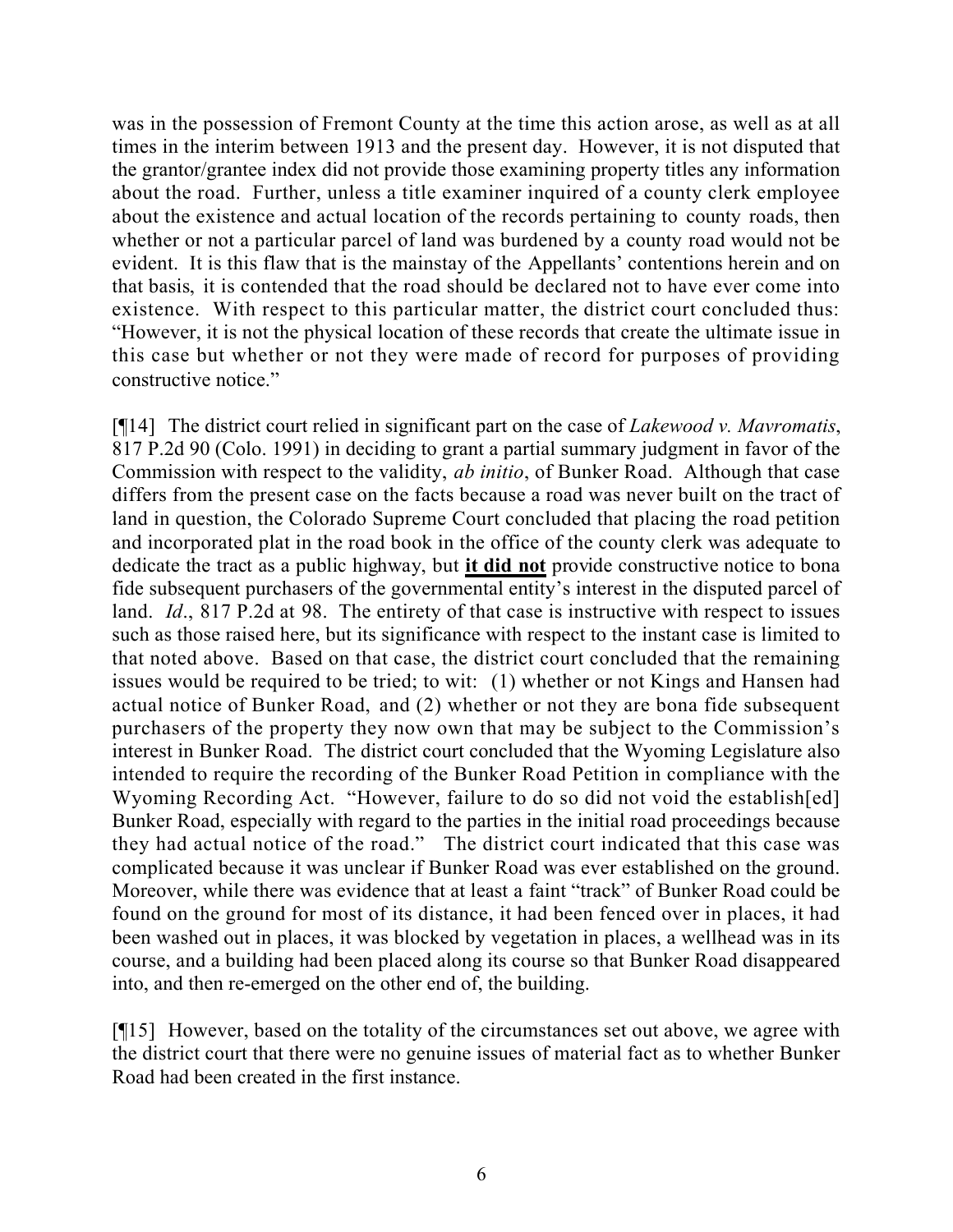was in the possession of Fremont County at the time this action arose, as well as at all times in the interim between 1913 and the present day. However, it is not disputed that the grantor/grantee index did not provide those examining property titles any information about the road. Further, unless a title examiner inquired of a county clerk employee about the existence and actual location of the records pertaining to county roads, then whether or not a particular parcel of land was burdened by a county road would not be evident. It is this flaw that is the mainstay of the Appellants' contentions herein and on that basis, it is contended that the road should be declared not to have ever come into existence. With respect to this particular matter, the district court concluded thus: "However, it is not the physical location of these records that create the ultimate issue in this case but whether or not they were made of record for purposes of providing constructive notice."

[¶14] The district court relied in significant part on the case of *Lakewood v. Mavromatis*, 817 P.2d 90 (Colo. 1991) in deciding to grant a partial summary judgment in favor of the Commission with respect to the validity, *ab initio*, of Bunker Road. Although that case differs from the present case on the facts because a road was never built on the tract of land in question, the Colorado Supreme Court concluded that placing the road petition and incorporated plat in the road book in the office of the county clerk was adequate to dedicate the tract as a public highway, but **it did not** provide constructive notice to bona fide subsequent purchasers of the governmental entity's interest in the disputed parcel of land. *Id*., 817 P.2d at 98. The entirety of that case is instructive with respect to issues such as those raised here, but its significance with respect to the instant case is limited to that noted above. Based on that case, the district court concluded that the remaining issues would be required to be tried; to wit: (1) whether or not Kings and Hansen had actual notice of Bunker Road, and (2) whether or not they are bona fide subsequent purchasers of the property they now own that may be subject to the Commission's interest in Bunker Road. The district court concluded that the Wyoming Legislature also intended to require the recording of the Bunker Road Petition in compliance with the Wyoming Recording Act. "However, failure to do so did not void the establish [ed] Bunker Road, especially with regard to the parties in the initial road proceedings because they had actual notice of the road." The district court indicated that this case was complicated because it was unclear if Bunker Road was ever established on the ground. Moreover, while there was evidence that at least a faint "track" of Bunker Road could be found on the ground for most of its distance, it had been fenced over in places, it had been washed out in places, it was blocked by vegetation in places, a wellhead was in its course, and a building had been placed along its course so that Bunker Road disappeared into, and then re-emerged on the other end of, the building.

[¶15] However, based on the totality of the circumstances set out above, we agree with the district court that there were no genuine issues of material fact as to whether Bunker Road had been created in the first instance.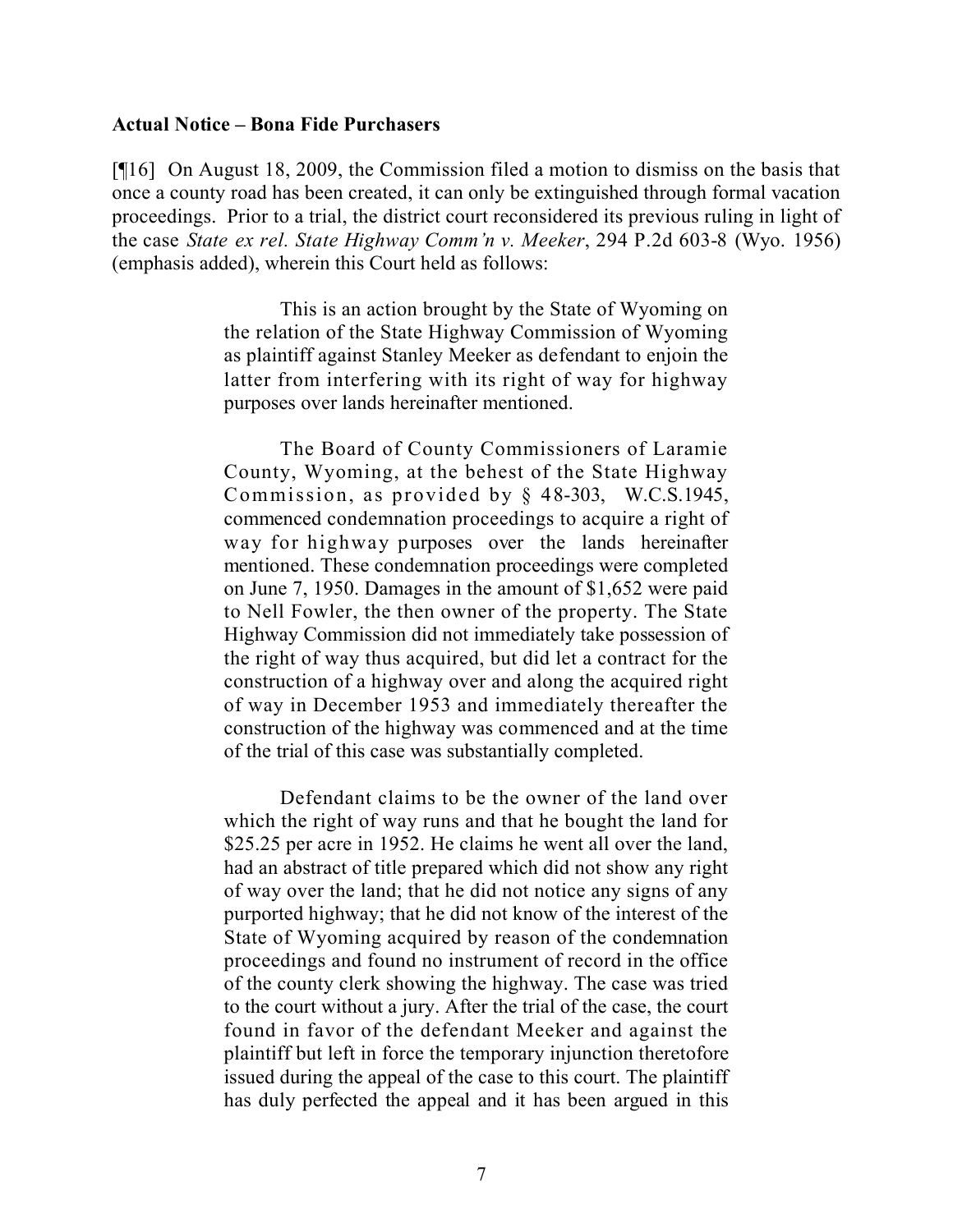#### **Actual Notice – Bona Fide Purchasers**

[¶16] On August 18, 2009, the Commission filed a motion to dismiss on the basis that once a county road has been created, it can only be extinguished through formal vacation proceedings. Prior to a trial, the district court reconsidered its previous ruling in light of the case *State ex rel. State Highway Comm'n v. Meeker*, 294 P.2d 603-8 (Wyo. 1956) (emphasis added), wherein this Court held as follows:

> This is an action brought by the State of Wyoming on the relation of the State Highway Commission of Wyoming as plaintiff against Stanley Meeker as defendant to enjoin the latter from interfering with its right of way for highway purposes over lands hereinafter mentioned.

> The Board of County Commissioners of Laramie County, Wyoming, at the behest of the State Highway Commission, as provided by § 48-303, W.C.S.1945, commenced condemnation proceedings to acquire a right of way for highway purposes over the lands hereinafter mentioned. These condemnation proceedings were completed on June 7, 1950. Damages in the amount of \$1,652 were paid to Nell Fowler, the then owner of the property. The State Highway Commission did not immediately take possession of the right of way thus acquired, but did let a contract for the construction of a highway over and along the acquired right of way in December 1953 and immediately thereafter the construction of the highway was commenced and at the time of the trial of this case was substantially completed.

> Defendant claims to be the owner of the land over which the right of way runs and that he bought the land for \$25.25 per acre in 1952. He claims he went all over the land, had an abstract of title prepared which did not show any right of way over the land; that he did not notice any signs of any purported highway; that he did not know of the interest of the State of Wyoming acquired by reason of the condemnation proceedings and found no instrument of record in the office of the county clerk showing the highway. The case was tried to the court without a jury. After the trial of the case, the court found in favor of the defendant Meeker and against the plaintiff but left in force the temporary injunction theretofore issued during the appeal of the case to this court. The plaintiff has duly perfected the appeal and it has been argued in this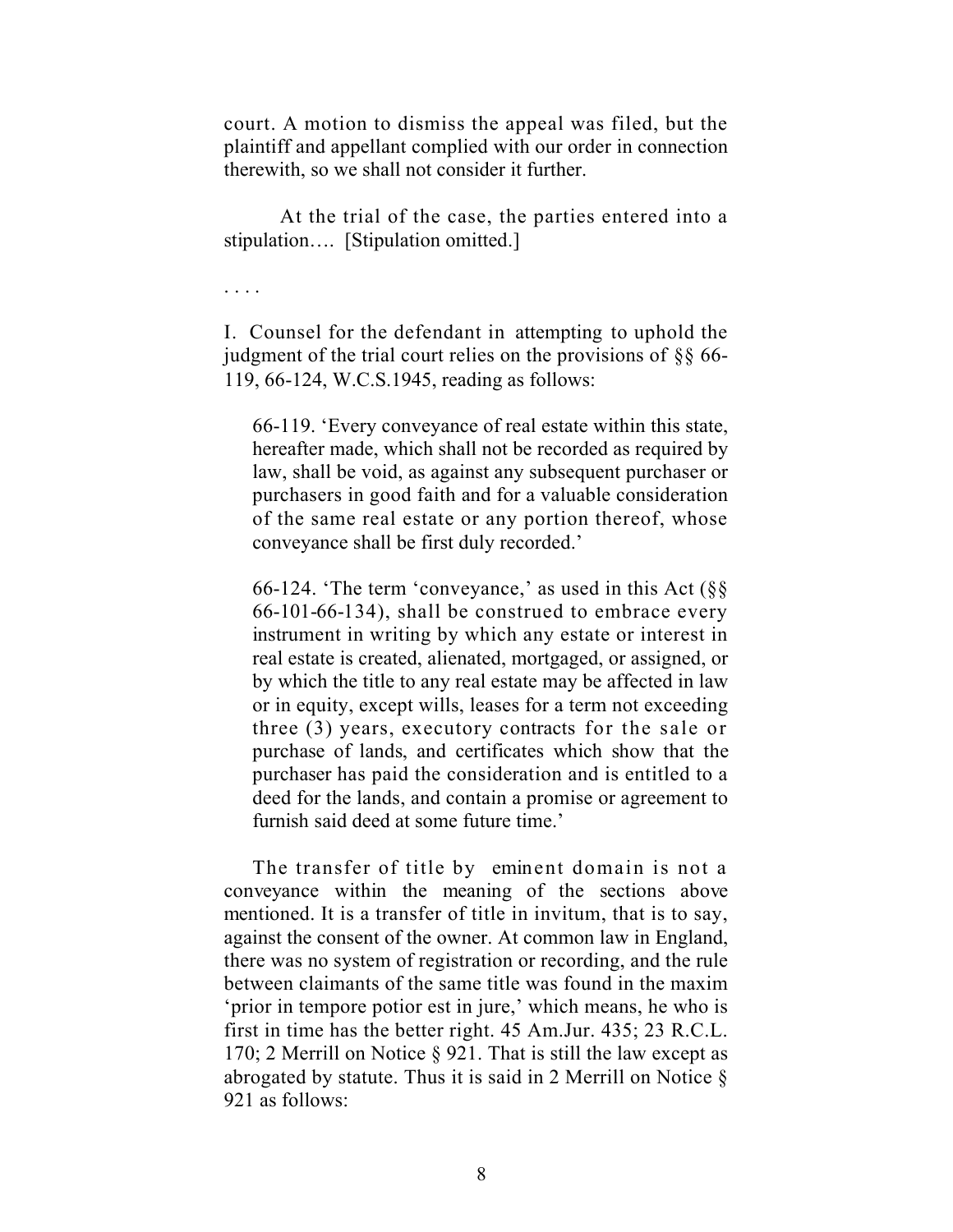court. A motion to dismiss the appeal was filed, but the plaintiff and appellant complied with our order in connection therewith, so we shall not consider it further.

At the trial of the case, the parties entered into a stipulation…. [Stipulation omitted.]

. . . .

I. Counsel for the defendant in attempting to uphold the judgment of the trial court relies on the provisions of §§ 66- 119, 66-124, W.C.S.1945, reading as follows:

66-119. 'Every conveyance of real estate within this state, hereafter made, which shall not be recorded as required by law, shall be void, as against any subsequent purchaser or purchasers in good faith and for a valuable consideration of the same real estate or any portion thereof, whose conveyance shall be first duly recorded.'

66-124. 'The term 'conveyance,' as used in this Act  $(\S$ § 66-101-66-134), shall be construed to embrace every instrument in writing by which any estate or interest in real estate is created, alienated, mortgaged, or assigned, or by which the title to any real estate may be affected in law or in equity, except wills, leases for a term not exceeding three (3) years, executory contracts for the sale or purchase of lands, and certificates which show that the purchaser has paid the consideration and is entitled to a deed for the lands, and contain a promise or agreement to furnish said deed at some future time.'

The transfer of title by eminent domain is not a conveyance within the meaning of the sections above mentioned. It is a transfer of title in invitum, that is to say, against the consent of the owner. At common law in England, there was no system of registration or recording, and the rule between claimants of the same title was found in the maxim 'prior in tempore potior est in jure,' which means, he who is first in time has the better right. 45 Am.Jur. 435; 23 R.C.L. 170; 2 Merrill on Notice § 921. That is still the law except as abrogated by statute. Thus it is said in 2 Merrill on Notice  $\S$ 921 as follows: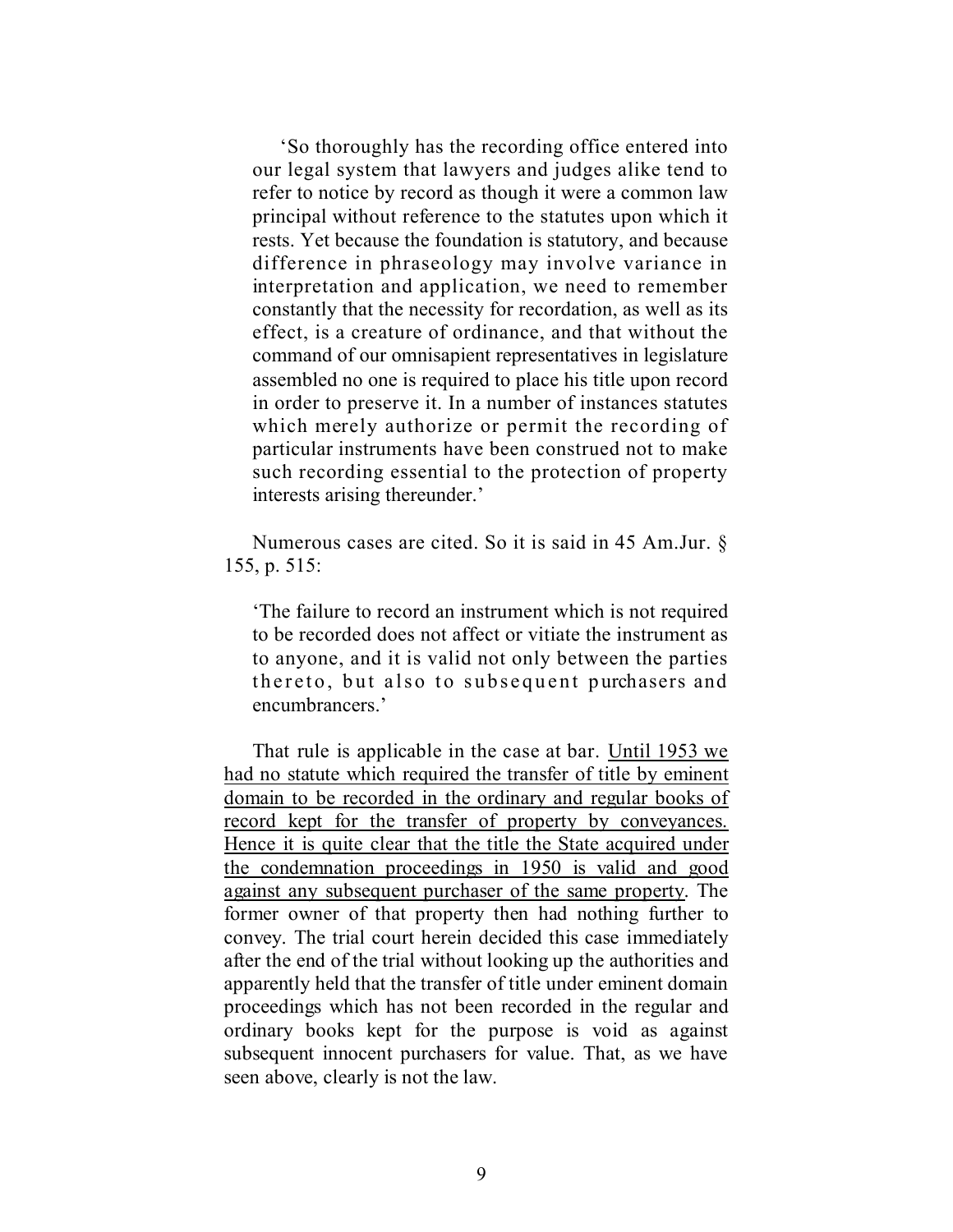'So thoroughly has the recording office entered into our legal system that lawyers and judges alike tend to refer to notice by record as though it were a common law principal without reference to the statutes upon which it rests. Yet because the foundation is statutory, and because difference in phraseology may involve variance in interpretation and application, we need to remember constantly that the necessity for recordation, as well as its effect, is a creature of ordinance, and that without the command of our omnisapient representatives in legislature assembled no one is required to place his title upon record in order to preserve it. In a number of instances statutes which merely authorize or permit the recording of particular instruments have been construed not to make such recording essential to the protection of property interests arising thereunder.'

Numerous cases are cited. So it is said in 45 Am.Jur. § 155, p. 515:

'The failure to record an instrument which is not required to be recorded does not affect or vitiate the instrument as to anyone, and it is valid not only between the parties thereto, but also to subsequent purchasers and encumbrancers.'

That rule is applicable in the case at bar. Until 1953 we had no statute which required the transfer of title by eminent domain to be recorded in the ordinary and regular books of record kept for the transfer of property by conveyances. Hence it is quite clear that the title the State acquired under the condemnation proceedings in 1950 is valid and good against any subsequent purchaser of the same property. The former owner of that property then had nothing further to convey. The trial court herein decided this case immediately after the end of the trial without looking up the authorities and apparently held that the transfer of title under eminent domain proceedings which has not been recorded in the regular and ordinary books kept for the purpose is void as against subsequent innocent purchasers for value. That, as we have seen above, clearly is not the law.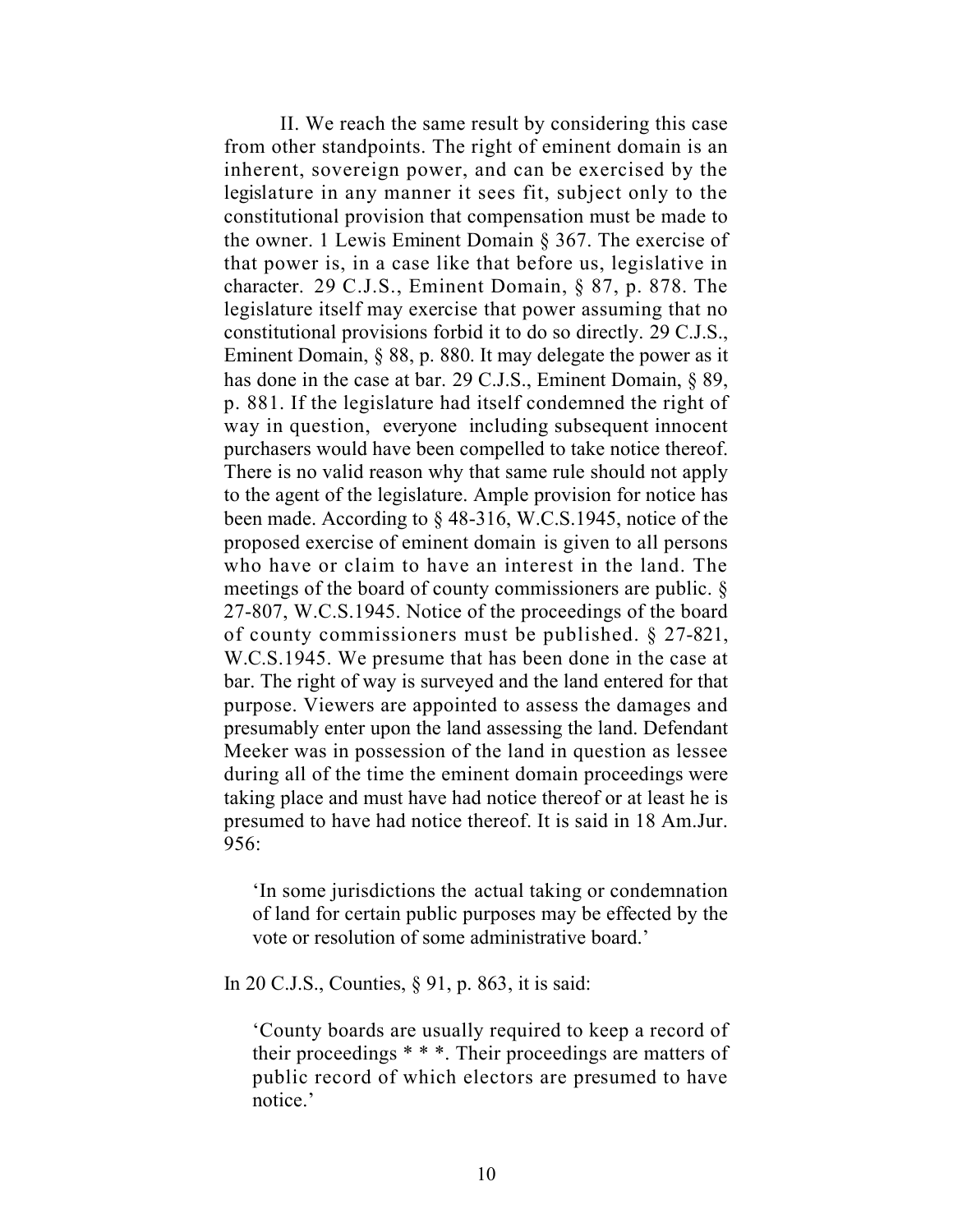II. We reach the same result by considering this case from other standpoints. The right of eminent domain is an inherent, sovereign power, and can be exercised by the legislature in any manner it sees fit, subject only to the constitutional provision that compensation must be made to the owner. 1 Lewis Eminent Domain § 367. The exercise of that power is, in a case like that before us, legislative in character. 29 C.J.S., Eminent Domain, § 87, p. 878. The legislature itself may exercise that power assuming that no constitutional provisions forbid it to do so directly. 29 C.J.S., Eminent Domain, § 88, p. 880. It may delegate the power as it has done in the case at bar. 29 C.J.S., Eminent Domain, § 89, p. 881. If the legislature had itself condemned the right of way in question, everyone including subsequent innocent purchasers would have been compelled to take notice thereof. There is no valid reason why that same rule should not apply to the agent of the legislature. Ample provision for notice has been made. According to § 48-316, W.C.S.1945, notice of the proposed exercise of eminent domain is given to all persons who have or claim to have an interest in the land. The meetings of the board of county commissioners are public. § 27-807, W.C.S.1945. Notice of the proceedings of the board of county commissioners must be published. § 27-821, W.C.S.1945. We presume that has been done in the case at bar. The right of way is surveyed and the land entered for that purpose. Viewers are appointed to assess the damages and presumably enter upon the land assessing the land. Defendant Meeker was in possession of the land in question as lessee during all of the time the eminent domain proceedings were taking place and must have had notice thereof or at least he is presumed to have had notice thereof. It is said in 18 Am.Jur. 956:

'In some jurisdictions the actual taking or condemnation of land for certain public purposes may be effected by the vote or resolution of some administrative board.'

In 20 C.J.S., Counties, § 91, p. 863, it is said:

'County boards are usually required to keep a record of their proceedings \* \* \*. Their proceedings are matters of public record of which electors are presumed to have notice.'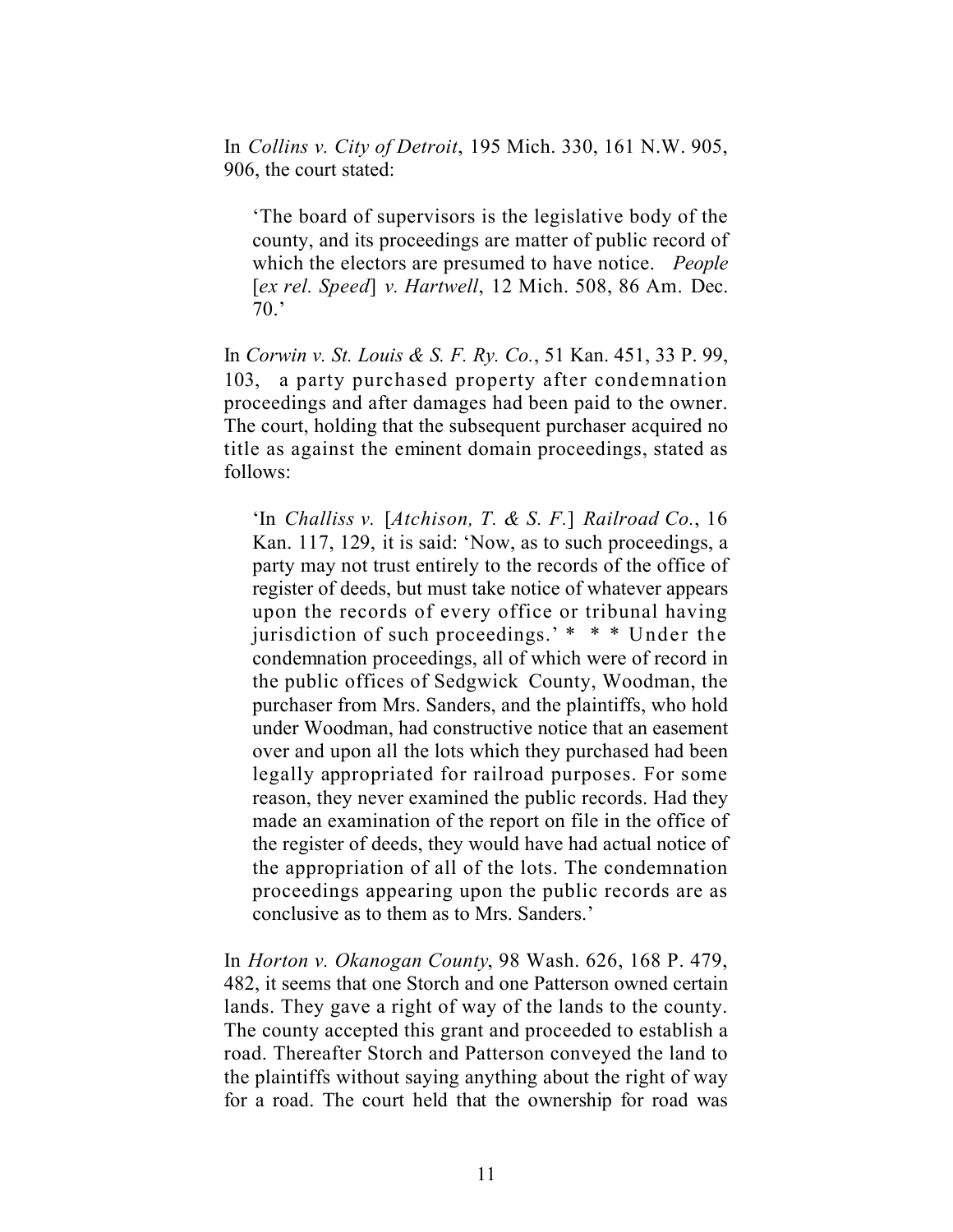In *Collins v. City of Detroit*, 195 Mich. 330, 161 N.W. 905, 906, the court stated:

'The board of supervisors is the legislative body of the county, and its proceedings are matter of public record of which the electors are presumed to have notice. *People*  [*ex rel. Speed*] *v. Hartwell*, 12 Mich. 508, 86 Am. Dec. 70.'

In *Corwin v. St. Louis & S. F. Ry. Co.*, 51 Kan. 451, 33 P. 99, 103, a party purchased property after condemnation proceedings and after damages had been paid to the owner. The court, holding that the subsequent purchaser acquired no title as against the eminent domain proceedings, stated as follows:

'In *Challiss v.* [*Atchison, T. & S. F.*] *Railroad Co.*, 16 Kan. 117, 129, it is said: 'Now, as to such proceedings, a party may not trust entirely to the records of the office of register of deeds, but must take notice of whatever appears upon the records of every office or tribunal having jurisdiction of such proceedings.' \* \* \* Under the condemnation proceedings, all of which were of record in the public offices of Sedgwick County, Woodman, the purchaser from Mrs. Sanders, and the plaintiffs, who hold under Woodman, had constructive notice that an easement over and upon all the lots which they purchased had been legally appropriated for railroad purposes. For some reason, they never examined the public records. Had they made an examination of the report on file in the office of the register of deeds, they would have had actual notice of the appropriation of all of the lots. The condemnation proceedings appearing upon the public records are as conclusive as to them as to Mrs. Sanders.'

In *Horton v. Okanogan County*, 98 Wash. 626, 168 P. 479, 482, it seems that one Storch and one Patterson owned certain lands. They gave a right of way of the lands to the county. The county accepted this grant and proceeded to establish a road. Thereafter Storch and Patterson conveyed the land to the plaintiffs without saying anything about the right of way for a road. The court held that the ownership for road was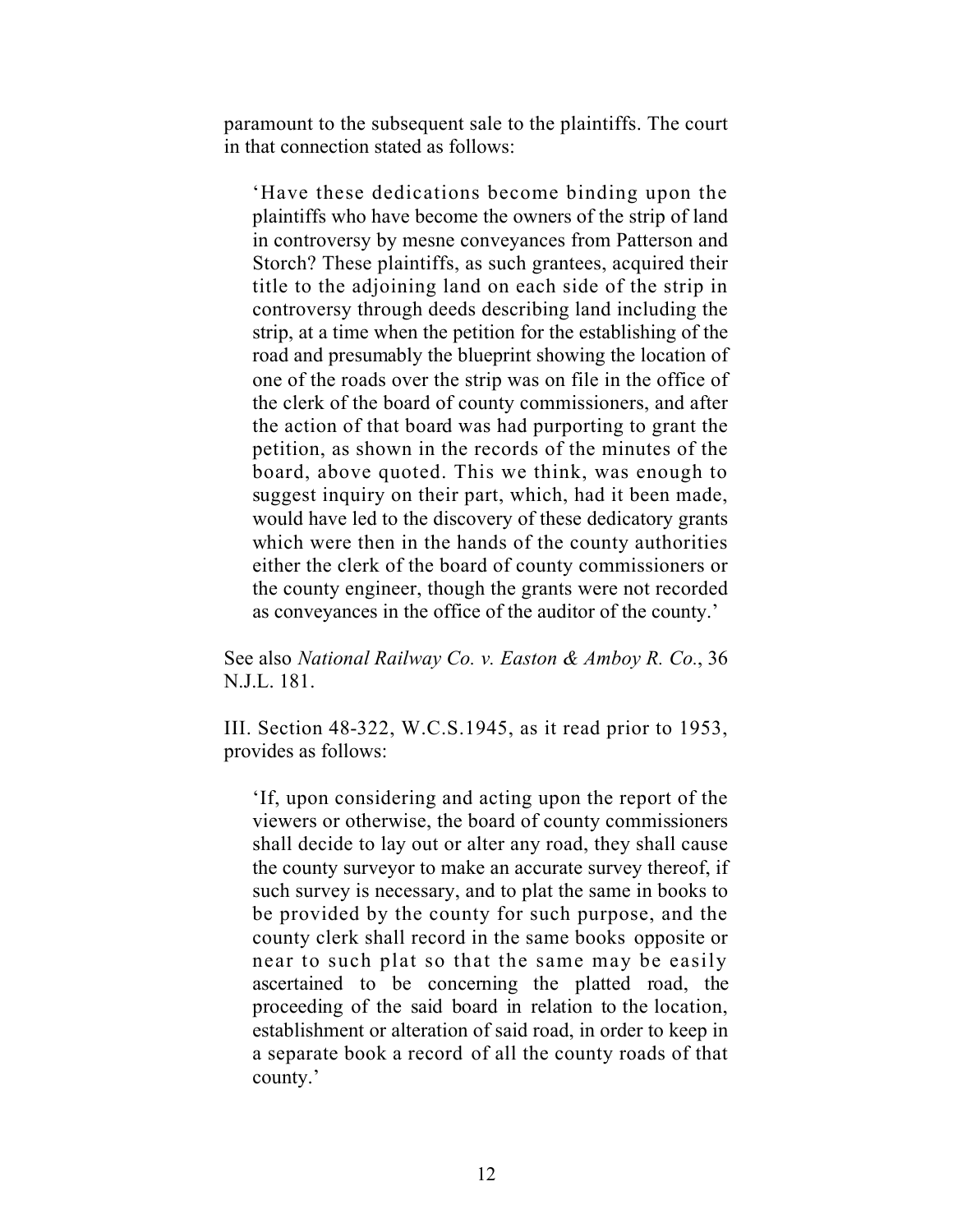paramount to the subsequent sale to the plaintiffs. The court in that connection stated as follows:

'Have these dedications become binding upon the plaintiffs who have become the owners of the strip of land in controversy by mesne conveyances from Patterson and Storch? These plaintiffs, as such grantees, acquired their title to the adjoining land on each side of the strip in controversy through deeds describing land including the strip, at a time when the petition for the establishing of the road and presumably the blueprint showing the location of one of the roads over the strip was on file in the office of the clerk of the board of county commissioners, and after the action of that board was had purporting to grant the petition, as shown in the records of the minutes of the board, above quoted. This we think, was enough to suggest inquiry on their part, which, had it been made, would have led to the discovery of these dedicatory grants which were then in the hands of the county authorities either the clerk of the board of county commissioners or the county engineer, though the grants were not recorded as conveyances in the office of the auditor of the county.'

See also *National Railway Co. v. Easton & Amboy R. Co.*, 36 N.J.L. 181.

III. Section 48-322, W.C.S.1945, as it read prior to 1953, provides as follows:

'If, upon considering and acting upon the report of the viewers or otherwise, the board of county commissioners shall decide to lay out or alter any road, they shall cause the county surveyor to make an accurate survey thereof, if such survey is necessary, and to plat the same in books to be provided by the county for such purpose, and the county clerk shall record in the same books opposite or near to such plat so that the same may be easily ascertained to be concerning the platted road, the proceeding of the said board in relation to the location, establishment or alteration of said road, in order to keep in a separate book a record of all the county roads of that county.'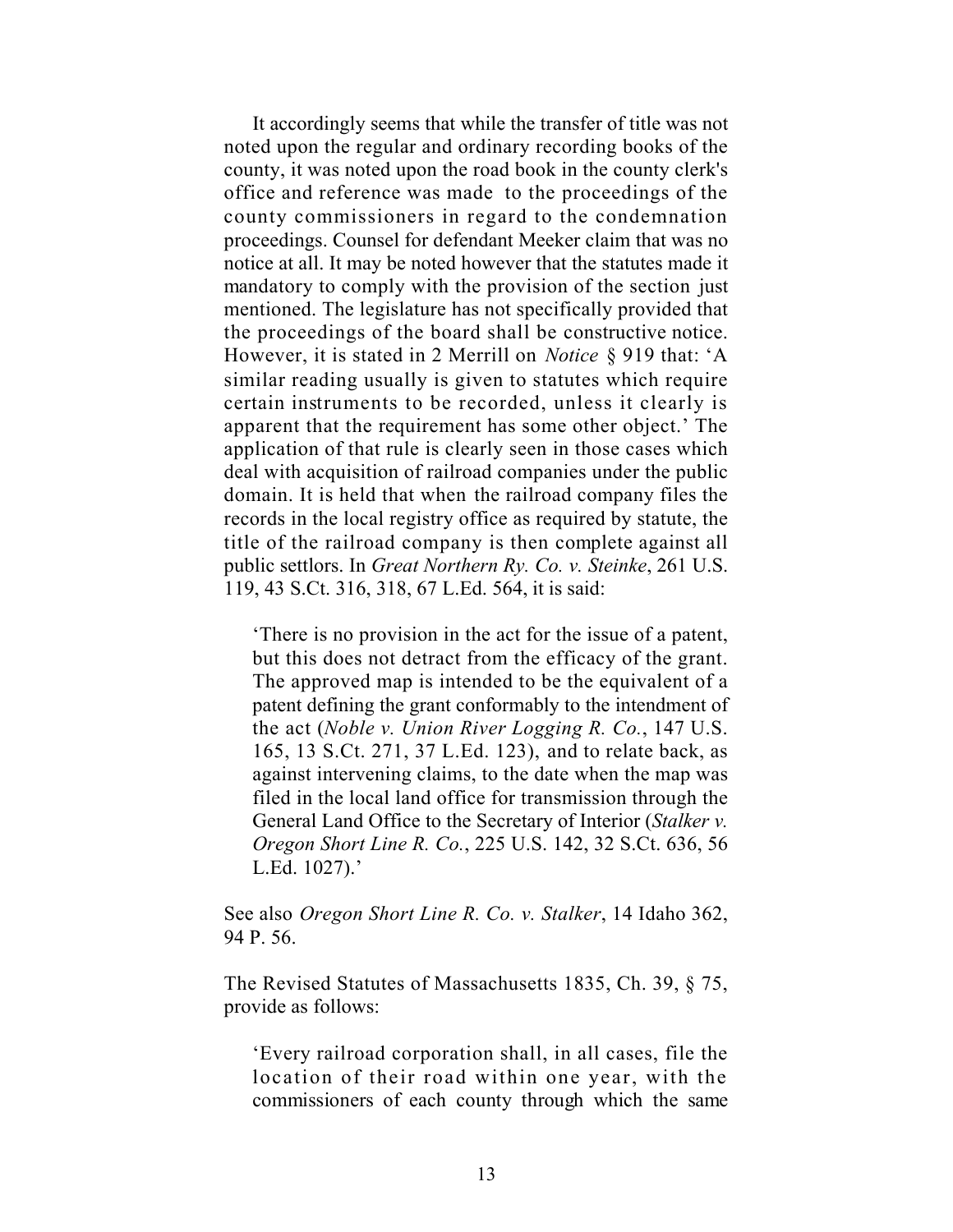It accordingly seems that while the transfer of title was not noted upon the regular and ordinary recording books of the county, it was noted upon the road book in the county clerk's office and reference was made to the proceedings of the county commissioners in regard to the condemnation proceedings. Counsel for defendant Meeker claim that was no notice at all. It may be noted however that the statutes made it mandatory to comply with the provision of the section just mentioned. The legislature has not specifically provided that the proceedings of the board shall be constructive notice. However, it is stated in 2 Merrill on *Notice* § 919 that: 'A similar reading usually is given to statutes which require certain instruments to be recorded, unless it clearly is apparent that the requirement has some other object.' The application of that rule is clearly seen in those cases which deal with acquisition of railroad companies under the public domain. It is held that when the railroad company files the records in the local registry office as required by statute, the title of the railroad company is then complete against all public settlors. In *Great Northern Ry. Co. v. Steinke*, 261 U.S. 119, 43 S.Ct. 316, 318, 67 L.Ed. 564, it is said:

'There is no provision in the act for the issue of a patent, but this does not detract from the efficacy of the grant. The approved map is intended to be the equivalent of a patent defining the grant conformably to the intendment of the act (*Noble v. Union River Logging R. Co.*, 147 U.S. 165, 13 S.Ct. 271, 37 L.Ed. 123), and to relate back, as against intervening claims, to the date when the map was filed in the local land office for transmission through the General Land Office to the Secretary of Interior (*Stalker v. Oregon Short Line R. Co.*, 225 U.S. 142, 32 S.Ct. 636, 56 L.Ed. 1027).'

See also *Oregon Short Line R. Co. v. Stalker*, 14 Idaho 362, 94 P. 56.

The Revised Statutes of Massachusetts 1835, Ch. 39, § 75, provide as follows:

'Every railroad corporation shall, in all cases, file the location of their road within one year, with the commissioners of each county through which the same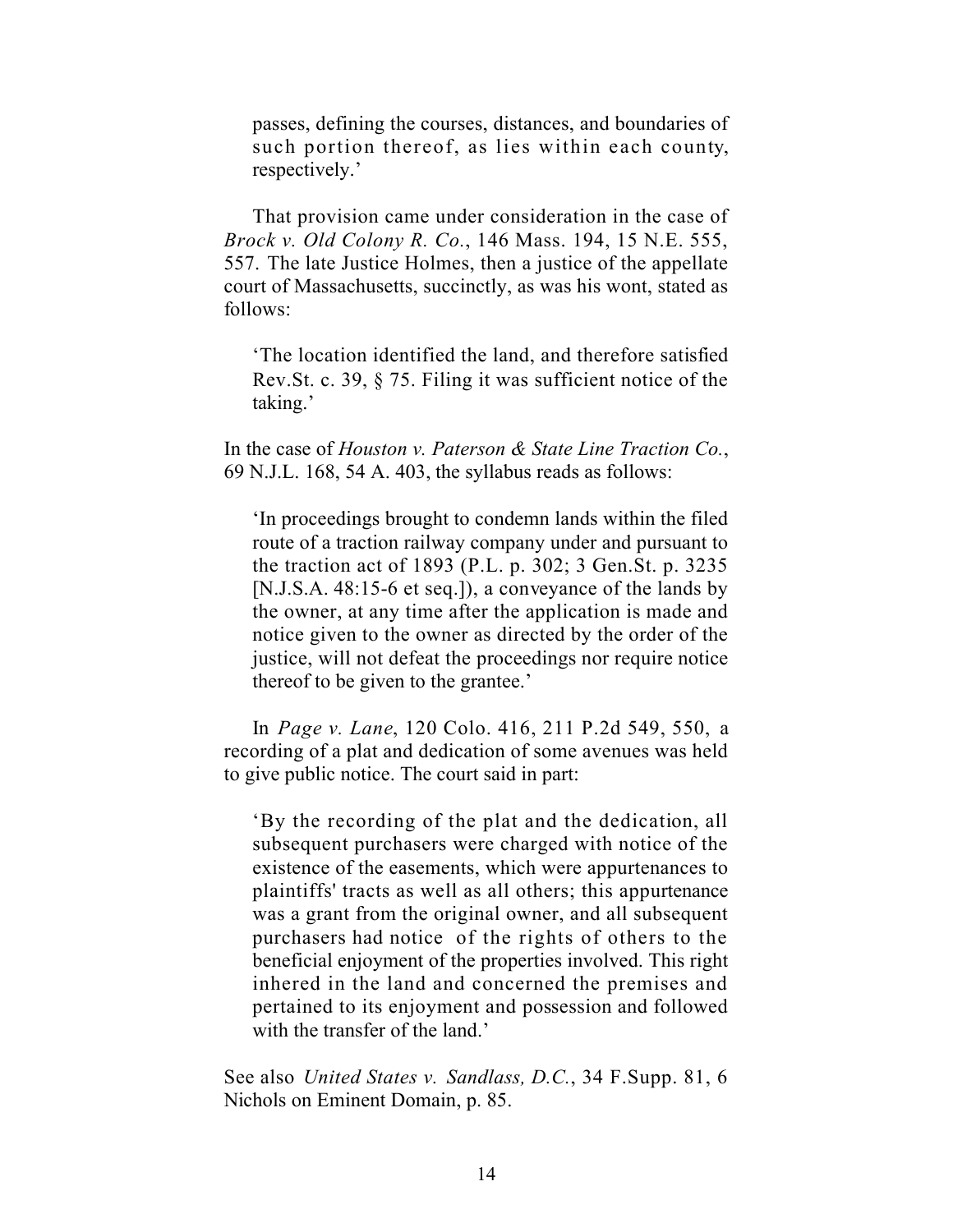passes, defining the courses, distances, and boundaries of such portion thereof, as lies within each county, respectively.'

That provision came under consideration in the case of *Brock v. Old Colony R. Co.*, 146 Mass. 194, 15 N.E. 555, 557. The late Justice Holmes, then a justice of the appellate court of Massachusetts, succinctly, as was his wont, stated as follows:

'The location identified the land, and therefore satisfied Rev.St. c. 39, § 75. Filing it was sufficient notice of the taking.'

In the case of *Houston v. Paterson & State Line Traction Co.*, 69 N.J.L. 168, 54 A. 403, the syllabus reads as follows:

'In proceedings brought to condemn lands within the filed route of a traction railway company under and pursuant to the traction act of 1893 (P.L. p. 302; 3 Gen.St. p. 3235 [N.J.S.A. 48:15-6 et seq.]), a conveyance of the lands by the owner, at any time after the application is made and notice given to the owner as directed by the order of the justice, will not defeat the proceedings nor require notice thereof to be given to the grantee.'

In *Page v. Lane*, 120 Colo. 416, 211 P.2d 549, 550, a recording of a plat and dedication of some avenues was held to give public notice. The court said in part:

'By the recording of the plat and the dedication, all subsequent purchasers were charged with notice of the existence of the easements, which were appurtenances to plaintiffs' tracts as well as all others; this appurtenance was a grant from the original owner, and all subsequent purchasers had notice of the rights of others to the beneficial enjoyment of the properties involved. This right inhered in the land and concerned the premises and pertained to its enjoyment and possession and followed with the transfer of the land.'

See also *United States v. Sandlass, D.C.*, 34 F.Supp. 81, 6 Nichols on Eminent Domain, p. 85.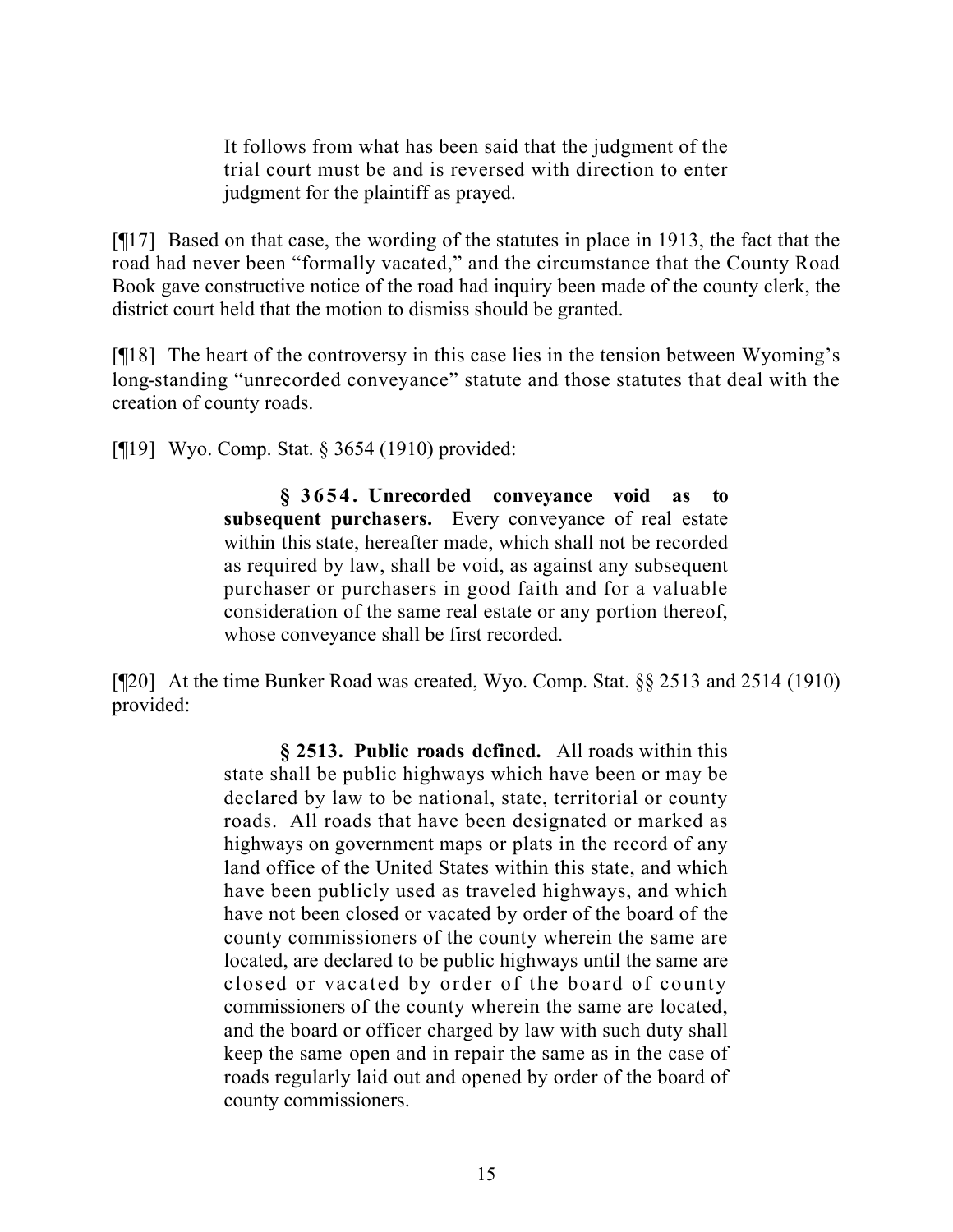It follows from what has been said that the judgment of the trial court must be and is reversed with direction to enter judgment for the plaintiff as prayed.

[¶17] Based on that case, the wording of the statutes in place in 1913, the fact that the road had never been "formally vacated," and the circumstance that the County Road Book gave constructive notice of the road had inquiry been made of the county clerk, the district court held that the motion to dismiss should be granted.

[¶18] The heart of the controversy in this case lies in the tension between Wyoming's long-standing "unrecorded conveyance" statute and those statutes that deal with the creation of county roads.

[¶19] Wyo. Comp. Stat. § 3654 (1910) provided:

**§ 3654. Unrecorded conveyance void as to subsequent purchasers.** Every conveyance of real estate within this state, hereafter made, which shall not be recorded as required by law, shall be void, as against any subsequent purchaser or purchasers in good faith and for a valuable consideration of the same real estate or any portion thereof, whose conveyance shall be first recorded.

[¶20] At the time Bunker Road was created, Wyo. Comp. Stat. §§ 2513 and 2514 (1910) provided:

> **§ 2513. Public roads defined.** All roads within this state shall be public highways which have been or may be declared by law to be national, state, territorial or county roads. All roads that have been designated or marked as highways on government maps or plats in the record of any land office of the United States within this state, and which have been publicly used as traveled highways, and which have not been closed or vacated by order of the board of the county commissioners of the county wherein the same are located, are declared to be public highways until the same are closed or vacated by order of the board of county commissioners of the county wherein the same are located, and the board or officer charged by law with such duty shall keep the same open and in repair the same as in the case of roads regularly laid out and opened by order of the board of county commissioners.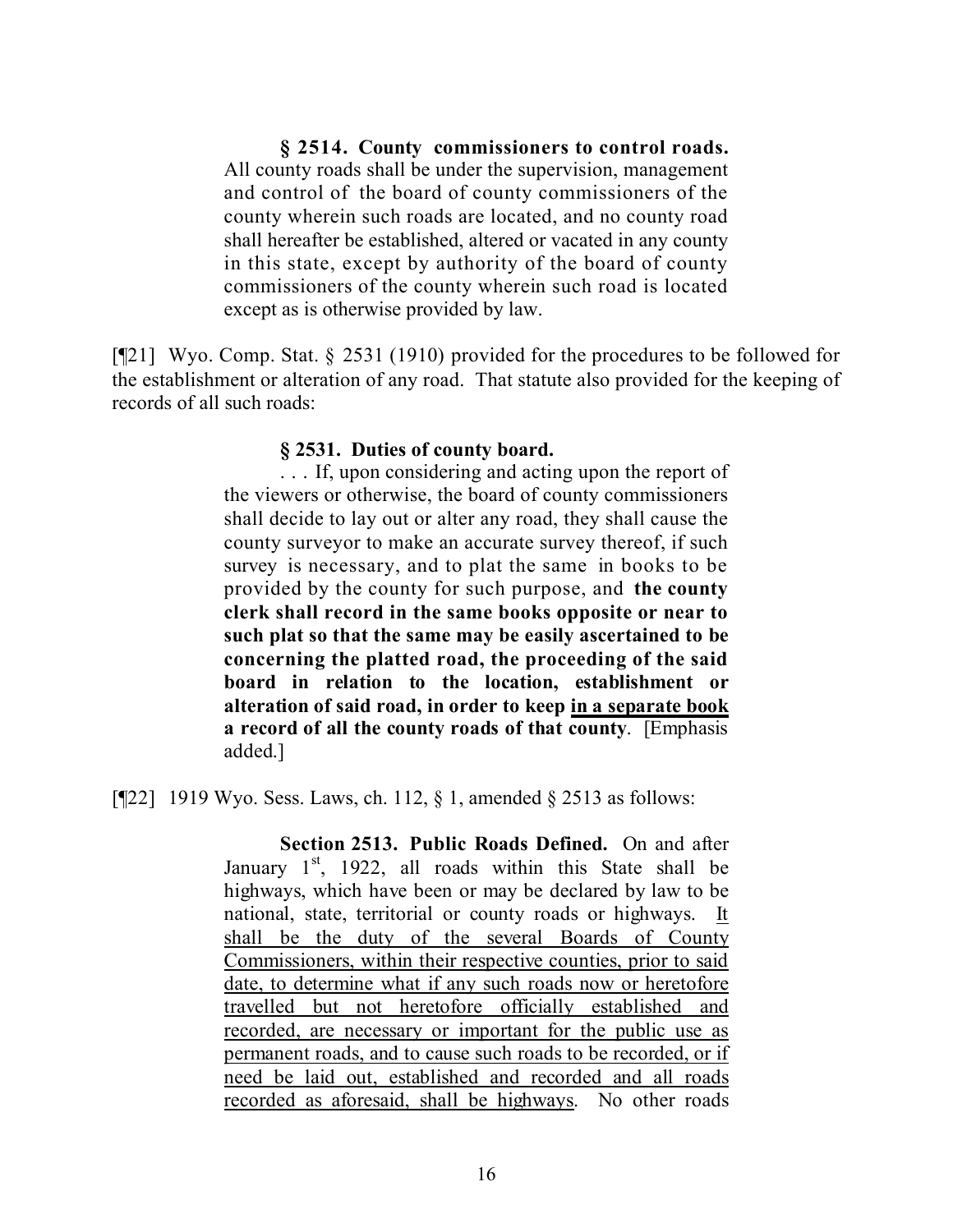**§ 2514. County commissioners to control roads.** All county roads shall be under the supervision, management and control of the board of county commissioners of the county wherein such roads are located, and no county road shall hereafter be established, altered or vacated in any county in this state, except by authority of the board of county commissioners of the county wherein such road is located except as is otherwise provided by law.

[¶21] Wyo. Comp. Stat. § 2531 (1910) provided for the procedures to be followed for the establishment or alteration of any road. That statute also provided for the keeping of records of all such roads:

### **§ 2531. Duties of county board.**

. . . If, upon considering and acting upon the report of the viewers or otherwise, the board of county commissioners shall decide to lay out or alter any road, they shall cause the county surveyor to make an accurate survey thereof, if such survey is necessary, and to plat the same in books to be provided by the county for such purpose, and **the county clerk shall record in the same books opposite or near to such plat so that the same may be easily ascertained to be concerning the platted road, the proceeding of the said board in relation to the location, establishment or alteration of said road, in order to keep in a separate book a record of all the county roads of that county**. [Emphasis added.]

[ $[22]$ ] 1919 Wyo. Sess. Laws, ch. 112, § 1, amended § 2513 as follows:

**Section 2513. Public Roads Defined.** On and after January  $1<sup>st</sup>$ , 1922, all roads within this State shall be highways, which have been or may be declared by law to be national, state, territorial or county roads or highways. It shall be the duty of the several Boards of County Commissioners, within their respective counties, prior to said date, to determine what if any such roads now or heretofore travelled but not heretofore officially established and recorded, are necessary or important for the public use as permanent roads, and to cause such roads to be recorded, or if need be laid out, established and recorded and all roads recorded as aforesaid, shall be highways. No other roads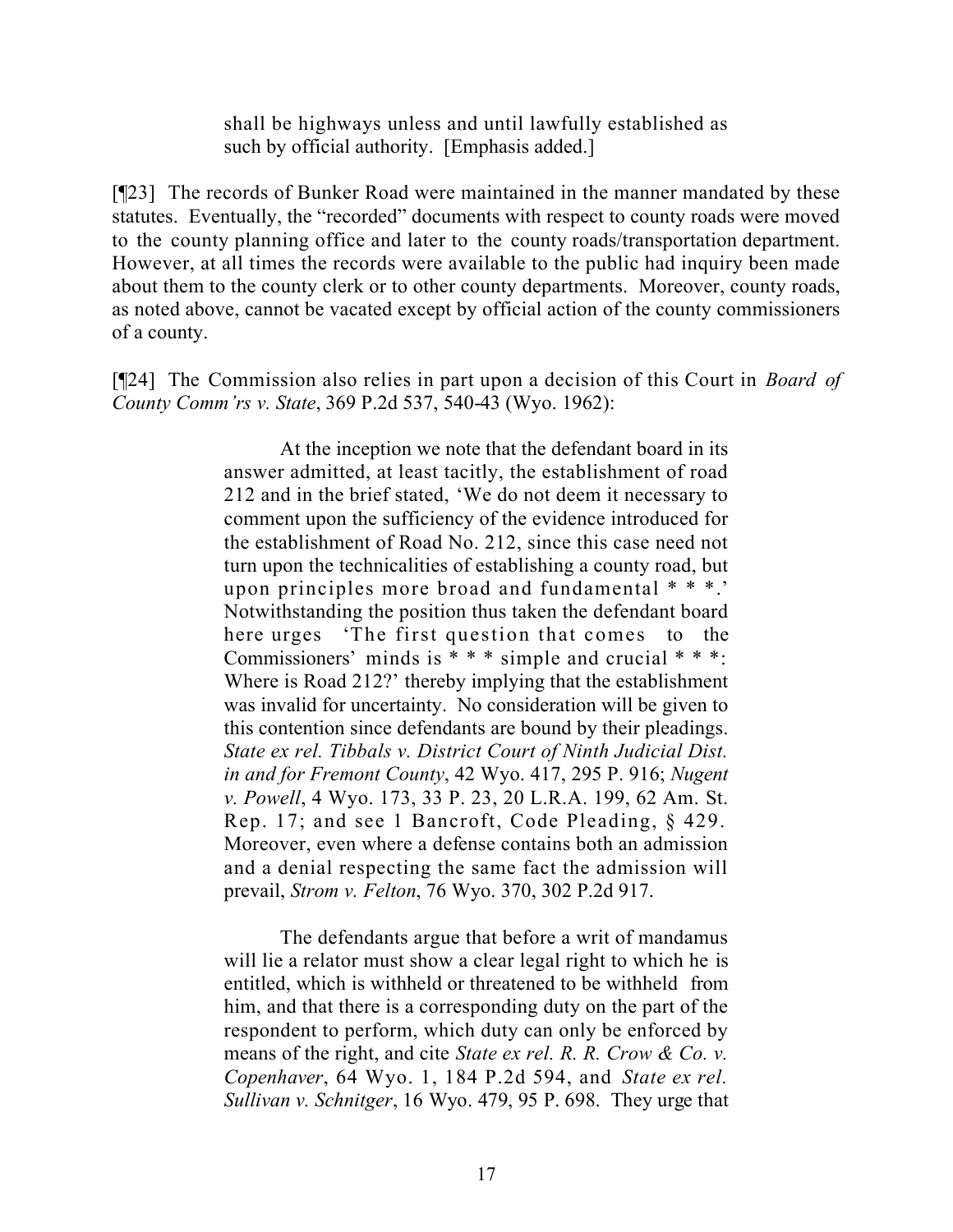shall be highways unless and until lawfully established as such by official authority. [Emphasis added.]

[¶23] The records of Bunker Road were maintained in the manner mandated by these statutes. Eventually, the "recorded" documents with respect to county roads were moved to the county planning office and later to the county roads/transportation department. However, at all times the records were available to the public had inquiry been made about them to the county clerk or to other county departments. Moreover, county roads, as noted above, cannot be vacated except by official action of the county commissioners of a county.

[¶24] The Commission also relies in part upon a decision of this Court in *Board of County Comm'rs v. State*, 369 P.2d 537, 540-43 (Wyo. 1962):

> At the inception we note that the defendant board in its answer admitted, at least tacitly, the establishment of road 212 and in the brief stated, 'We do not deem it necessary to comment upon the sufficiency of the evidence introduced for the establishment of Road No. 212, since this case need not turn upon the technicalities of establishing a county road, but upon principles more broad and fundamental \* \* \*.' Notwithstanding the position thus taken the defendant board here urges 'The first question that comes to the Commissioners' minds is  $***$  simple and crucial  $***$ : Where is Road 212?' thereby implying that the establishment was invalid for uncertainty. No consideration will be given to this contention since defendants are bound by their pleadings. *State ex rel. Tibbals v. District Court of Ninth Judicial Dist. in and for Fremont County*, 42 Wyo. 417, 295 P. 916; *Nugent v. Powell*, 4 Wyo. 173, 33 P. 23, 20 L.R.A. 199, 62 Am. St. Rep. 17; and see 1 Bancroft, Code Pleading, § 429. Moreover, even where a defense contains both an admission and a denial respecting the same fact the admission will prevail, *Strom v. Felton*, 76 Wyo. 370, 302 P.2d 917.

> The defendants argue that before a writ of mandamus will lie a relator must show a clear legal right to which he is entitled, which is withheld or threatened to be withheld from him, and that there is a corresponding duty on the part of the respondent to perform, which duty can only be enforced by means of the right, and cite *State ex rel. R. R. Crow & Co. v. Copenhaver*, 64 Wyo. 1, 184 P.2d 594, and *State ex rel. Sullivan v. Schnitger*, 16 Wyo. 479, 95 P. 698. They urge that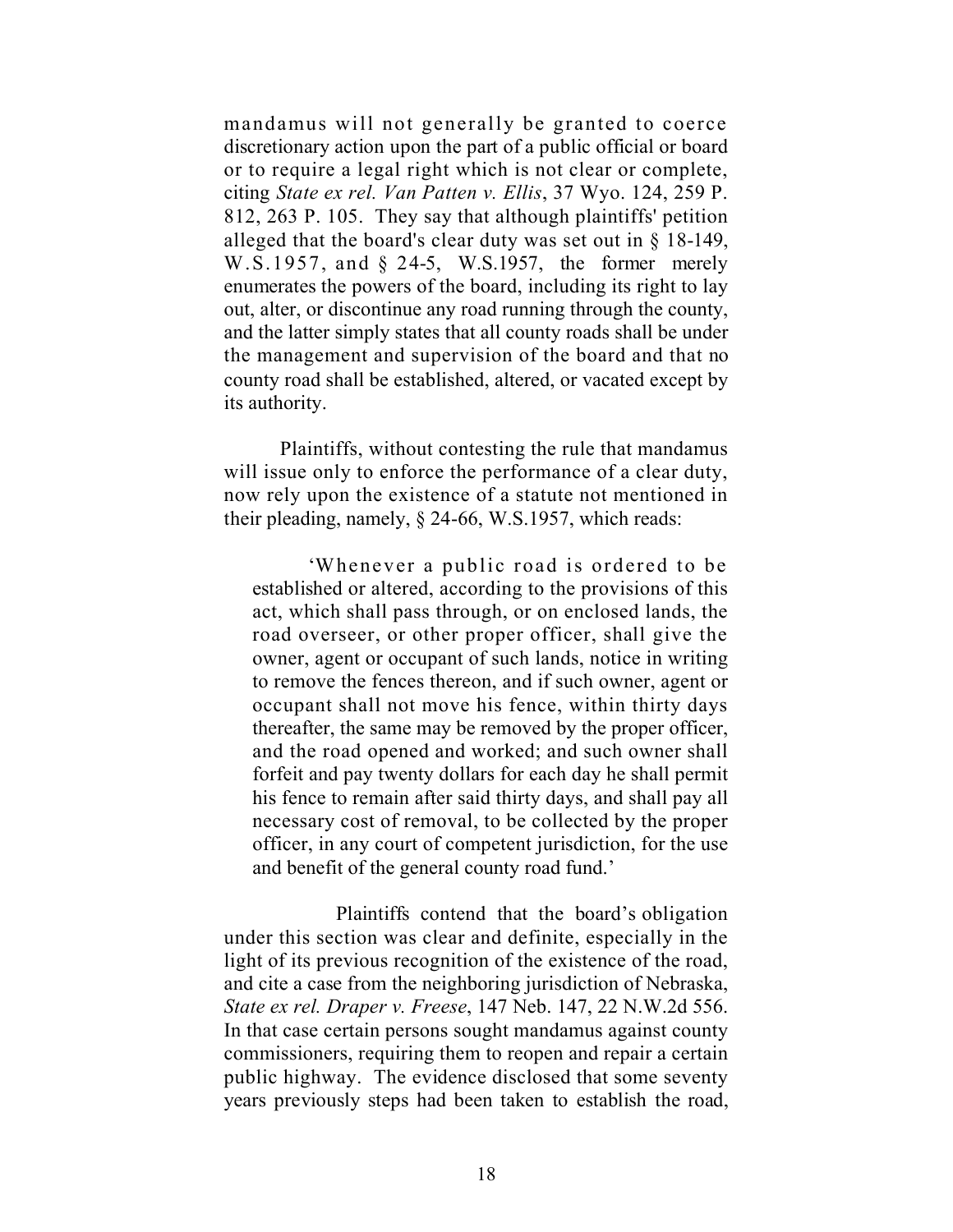mandamus will not generally be granted to coerce discretionary action upon the part of a public official or board or to require a legal right which is not clear or complete, citing *State ex rel. Van Patten v. Ellis*, 37 Wyo. 124, 259 P. 812, 263 P. 105. They say that although plaintiffs' petition alleged that the board's clear duty was set out in  $\S$  18-149, W.S.1957, and § 24-5, W.S.1957, the former merely enumerates the powers of the board, including its right to lay out, alter, or discontinue any road running through the county, and the latter simply states that all county roads shall be under the management and supervision of the board and that no county road shall be established, altered, or vacated except by its authority.

Plaintiffs, without contesting the rule that mandamus will issue only to enforce the performance of a clear duty, now rely upon the existence of a statute not mentioned in their pleading, namely, § 24-66, W.S.1957, which reads:

'Whenever a public road is ordered to be established or altered, according to the provisions of this act, which shall pass through, or on enclosed lands, the road overseer, or other proper officer, shall give the owner, agent or occupant of such lands, notice in writing to remove the fences thereon, and if such owner, agent or occupant shall not move his fence, within thirty days thereafter, the same may be removed by the proper officer, and the road opened and worked; and such owner shall forfeit and pay twenty dollars for each day he shall permit his fence to remain after said thirty days, and shall pay all necessary cost of removal, to be collected by the proper officer, in any court of competent jurisdiction, for the use and benefit of the general county road fund.'

Plaintiffs contend that the board's obligation under this section was clear and definite, especially in the light of its previous recognition of the existence of the road, and cite a case from the neighboring jurisdiction of Nebraska, *State ex rel. Draper v. Freese*, 147 Neb. 147, 22 N.W.2d 556. In that case certain persons sought mandamus against county commissioners, requiring them to reopen and repair a certain public highway. The evidence disclosed that some seventy years previously steps had been taken to establish the road,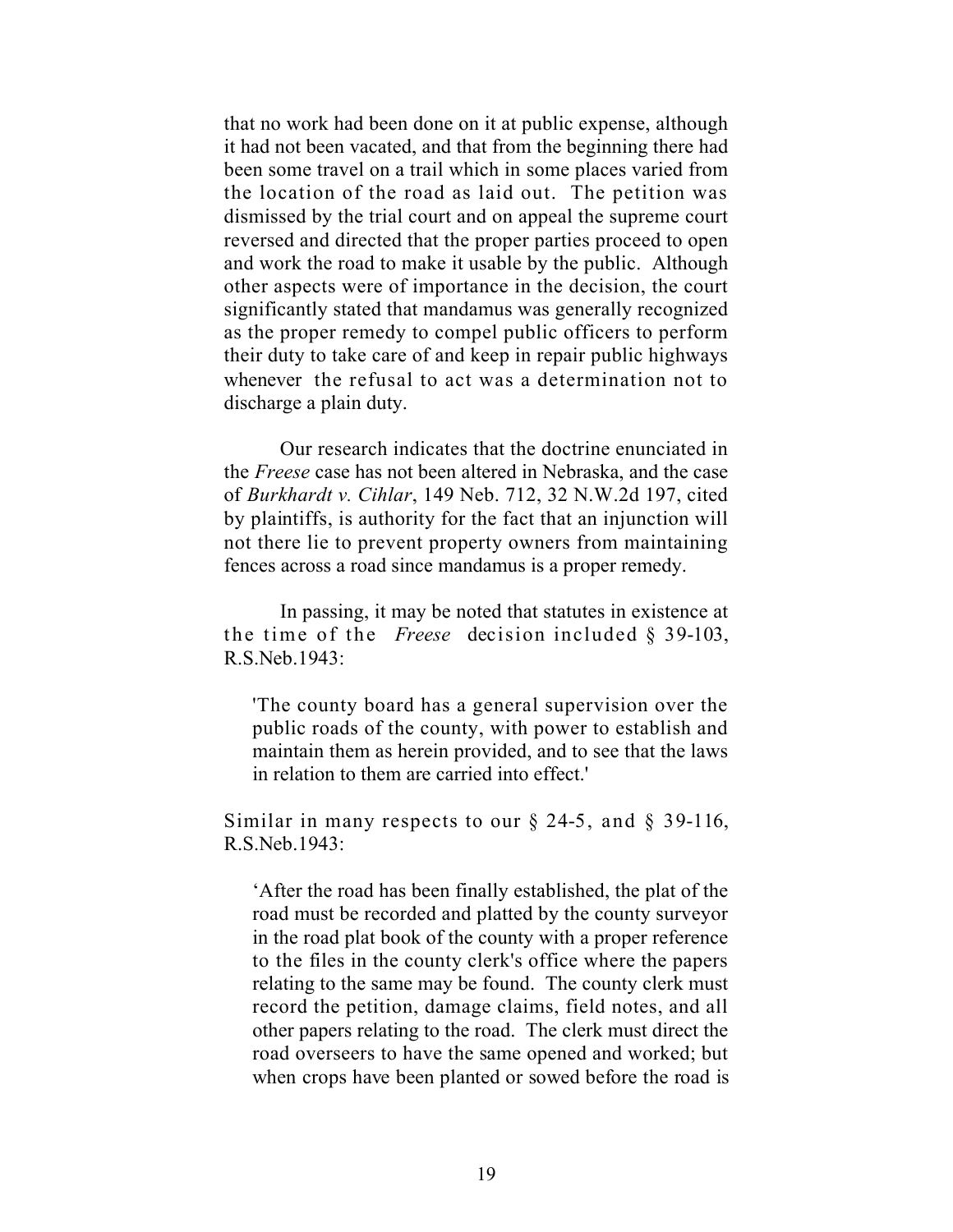that no work had been done on it at public expense, although it had not been vacated, and that from the beginning there had been some travel on a trail which in some places varied from the location of the road as laid out. The petition was dismissed by the trial court and on appeal the supreme court reversed and directed that the proper parties proceed to open and work the road to make it usable by the public. Although other aspects were of importance in the decision, the court significantly stated that mandamus was generally recognized as the proper remedy to compel public officers to perform their duty to take care of and keep in repair public highways whenever the refusal to act was a determination not to discharge a plain duty.

Our research indicates that the doctrine enunciated in the *Freese* case has not been altered in Nebraska, and the case of *Burkhardt v. Cihlar*, 149 Neb. 712, 32 N.W.2d 197, cited by plaintiffs, is authority for the fact that an injunction will not there lie to prevent property owners from maintaining fences across a road since mandamus is a proper remedy.

In passing, it may be noted that statutes in existence at the time of the *Freese* decision included § 39-103, R.S.Neb.1943:

'The county board has a general supervision over the public roads of the county, with power to establish and maintain them as herein provided, and to see that the laws in relation to them are carried into effect.'

Similar in many respects to our  $\S$  24-5, and  $\S$  39-116, R.S.Neb.1943:

'After the road has been finally established, the plat of the road must be recorded and platted by the county surveyor in the road plat book of the county with a proper reference to the files in the county clerk's office where the papers relating to the same may be found. The county clerk must record the petition, damage claims, field notes, and all other papers relating to the road. The clerk must direct the road overseers to have the same opened and worked; but when crops have been planted or sowed before the road is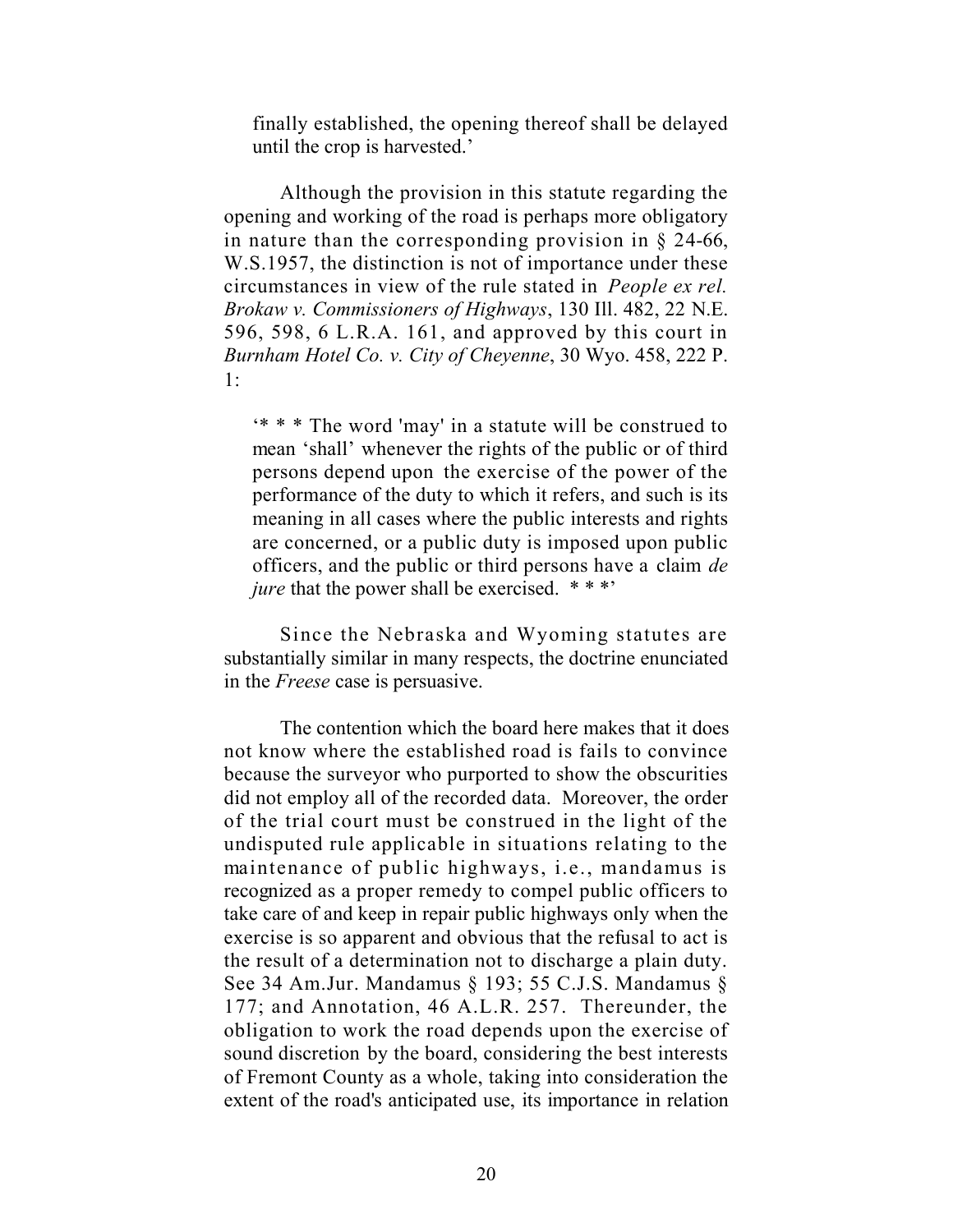finally established, the opening thereof shall be delayed until the crop is harvested.'

Although the provision in this statute regarding the opening and working of the road is perhaps more obligatory in nature than the corresponding provision in § 24-66, W.S.1957, the distinction is not of importance under these circumstances in view of the rule stated in *People ex rel. Brokaw v. Commissioners of Highways*, 130 Ill. 482, 22 N.E. 596, 598, 6 L.R.A. 161, and approved by this court in *Burnham Hotel Co. v. City of Cheyenne*, 30 Wyo. 458, 222 P. 1:

'\* \* \* The word 'may' in a statute will be construed to mean 'shall' whenever the rights of the public or of third persons depend upon the exercise of the power of the performance of the duty to which it refers, and such is its meaning in all cases where the public interests and rights are concerned, or a public duty is imposed upon public officers, and the public or third persons have a claim *de jure* that the power shall be exercised. \*\*\*'

Since the Nebraska and Wyoming statutes are substantially similar in many respects, the doctrine enunciated in the *Freese* case is persuasive.

The contention which the board here makes that it does not know where the established road is fails to convince because the surveyor who purported to show the obscurities did not employ all of the recorded data. Moreover, the order of the trial court must be construed in the light of the undisputed rule applicable in situations relating to the maintenance of public highways, i.e., mandamus is recognized as a proper remedy to compel public officers to take care of and keep in repair public highways only when the exercise is so apparent and obvious that the refusal to act is the result of a determination not to discharge a plain duty. See 34 Am.Jur. Mandamus § 193; 55 C.J.S. Mandamus § 177; and Annotation, 46 A.L.R. 257. Thereunder, the obligation to work the road depends upon the exercise of sound discretion by the board, considering the best interests of Fremont County as a whole, taking into consideration the extent of the road's anticipated use, its importance in relation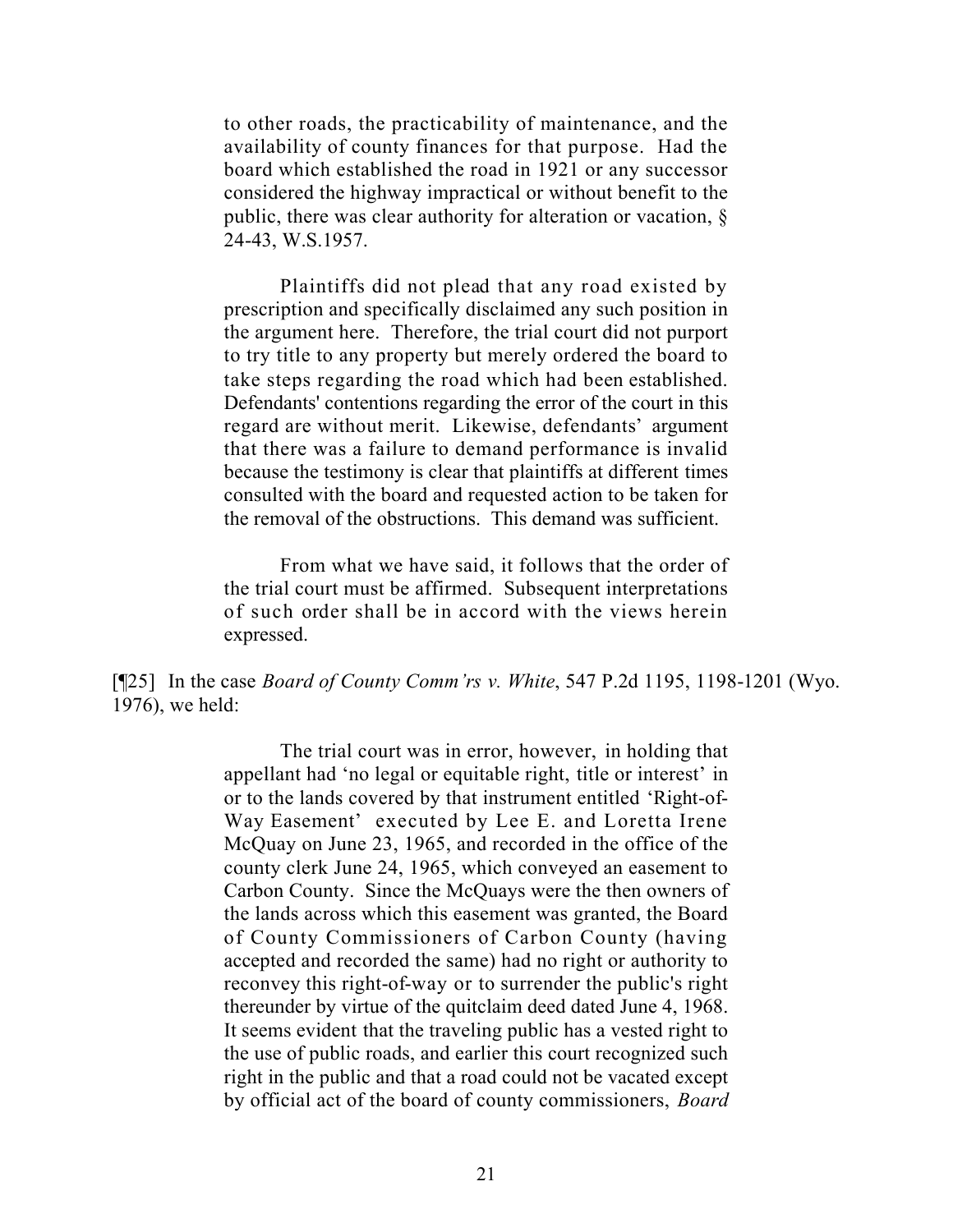to other roads, the practicability of maintenance, and the availability of county finances for that purpose. Had the board which established the road in 1921 or any successor considered the highway impractical or without benefit to the public, there was clear authority for alteration or vacation, § 24-43, W.S.1957.

Plaintiffs did not plead that any road existed by prescription and specifically disclaimed any such position in the argument here. Therefore, the trial court did not purport to try title to any property but merely ordered the board to take steps regarding the road which had been established. Defendants' contentions regarding the error of the court in this regard are without merit. Likewise, defendants' argument that there was a failure to demand performance is invalid because the testimony is clear that plaintiffs at different times consulted with the board and requested action to be taken for the removal of the obstructions. This demand was sufficient.

From what we have said, it follows that the order of the trial court must be affirmed. Subsequent interpretations of such order shall be in accord with the views herein expressed.

[¶25] In the case *Board of County Comm'rs v. White*, 547 P.2d 1195, 1198-1201 (Wyo. 1976), we held:

> The trial court was in error, however, in holding that appellant had 'no legal or equitable right, title or interest' in or to the lands covered by that instrument entitled 'Right-of-Way Easement' executed by Lee E. and Loretta Irene McQuay on June 23, 1965, and recorded in the office of the county clerk June 24, 1965, which conveyed an easement to Carbon County. Since the McQuays were the then owners of the lands across which this easement was granted, the Board of County Commissioners of Carbon County (having accepted and recorded the same) had no right or authority to reconvey this right-of-way or to surrender the public's right thereunder by virtue of the quitclaim deed dated June 4, 1968. It seems evident that the traveling public has a vested right to the use of public roads, and earlier this court recognized such right in the public and that a road could not be vacated except by official act of the board of county commissioners, *Board*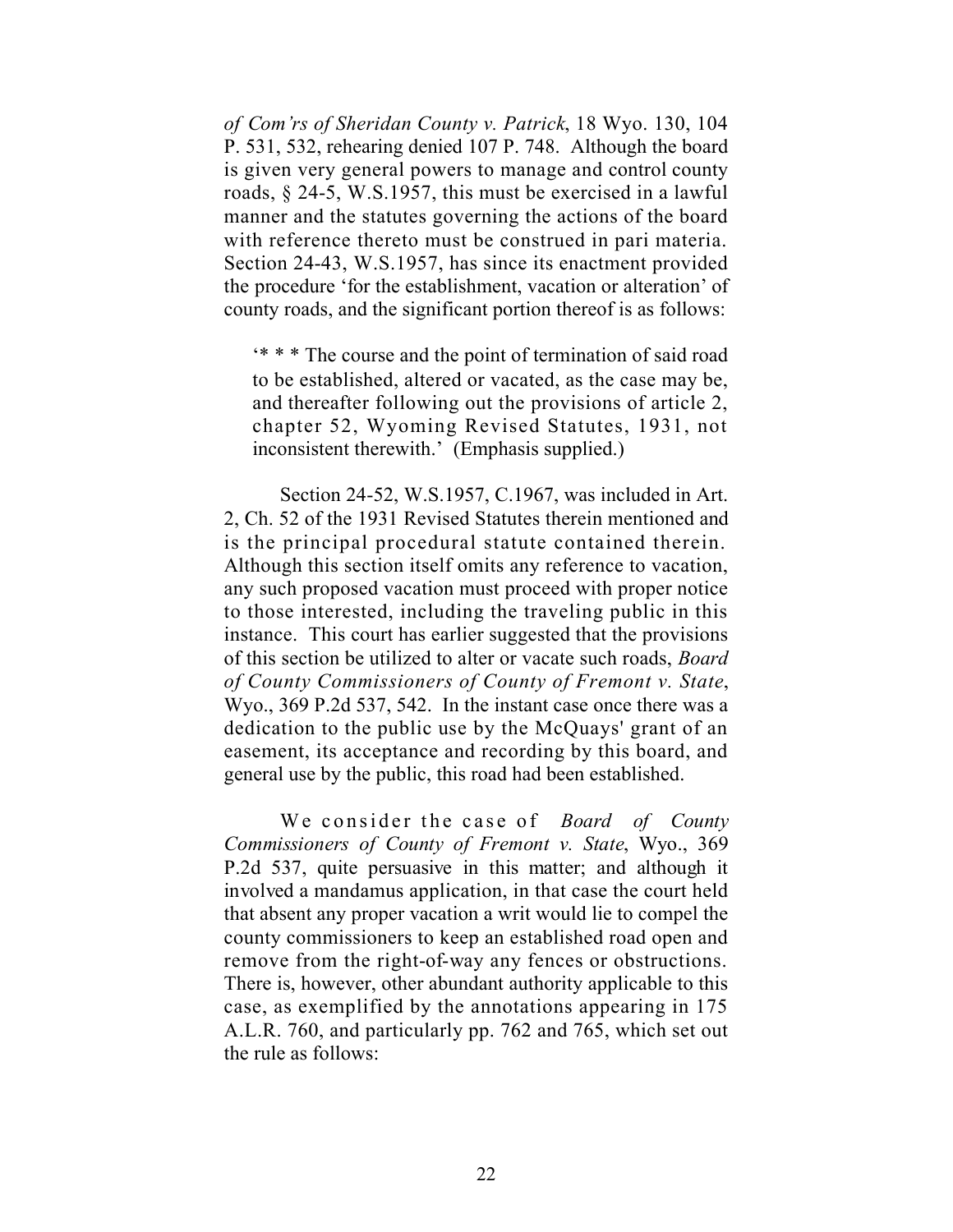*of Com'rs of Sheridan County v. Patrick*, 18 Wyo. 130, 104 P. 531, 532, rehearing denied 107 P. 748. Although the board is given very general powers to manage and control county roads, § 24-5, W.S.1957, this must be exercised in a lawful manner and the statutes governing the actions of the board with reference thereto must be construed in pari materia. Section 24-43, W.S.1957, has since its enactment provided the procedure 'for the establishment, vacation or alteration' of county roads, and the significant portion thereof is as follows:

'\* \* \* The course and the point of termination of said road to be established, altered or vacated, as the case may be, and thereafter following out the provisions of article 2, chapter 52, Wyoming Revised Statutes, 1931, not inconsistent therewith.' (Emphasis supplied.)

Section 24-52, W.S.1957, C.1967, was included in Art. 2, Ch. 52 of the 1931 Revised Statutes therein mentioned and is the principal procedural statute contained therein. Although this section itself omits any reference to vacation, any such proposed vacation must proceed with proper notice to those interested, including the traveling public in this instance. This court has earlier suggested that the provisions of this section be utilized to alter or vacate such roads, *Board of County Commissioners of County of Fremont v. State*, Wyo., 369 P.2d 537, 542. In the instant case once there was a dedication to the public use by the McQuays' grant of an easement, its acceptance and recording by this board, and general use by the public, this road had been established.

We consider the case of *Board of County Commissioners of County of Fremont v. State*, Wyo., 369 P.2d 537, quite persuasive in this matter; and although it involved a mandamus application, in that case the court held that absent any proper vacation a writ would lie to compel the county commissioners to keep an established road open and remove from the right-of-way any fences or obstructions. There is, however, other abundant authority applicable to this case, as exemplified by the annotations appearing in 175 A.L.R. 760, and particularly pp. 762 and 765, which set out the rule as follows: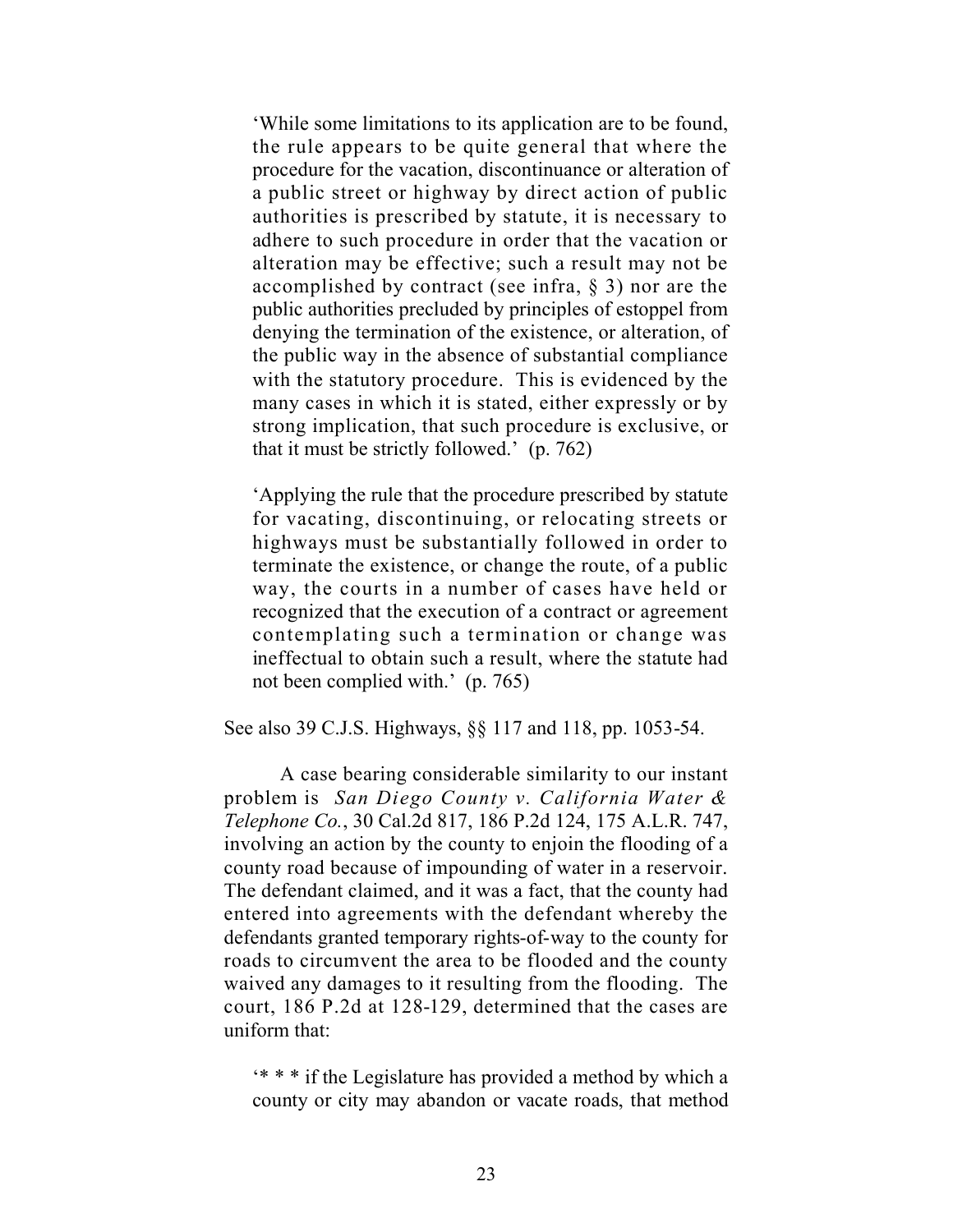'While some limitations to its application are to be found, the rule appears to be quite general that where the procedure for the vacation, discontinuance or alteration of a public street or highway by direct action of public authorities is prescribed by statute, it is necessary to adhere to such procedure in order that the vacation or alteration may be effective; such a result may not be accomplished by contract (see infra,  $\S$  3) nor are the public authorities precluded by principles of estoppel from denying the termination of the existence, or alteration, of the public way in the absence of substantial compliance with the statutory procedure. This is evidenced by the many cases in which it is stated, either expressly or by strong implication, that such procedure is exclusive, or that it must be strictly followed.' (p. 762)

'Applying the rule that the procedure prescribed by statute for vacating, discontinuing, or relocating streets or highways must be substantially followed in order to terminate the existence, or change the route, of a public way, the courts in a number of cases have held or recognized that the execution of a contract or agreement contemplating such a termination or change was ineffectual to obtain such a result, where the statute had not been complied with.' (p. 765)

See also 39 C.J.S. Highways, §§ 117 and 118, pp. 1053-54.

A case bearing considerable similarity to our instant problem is *San Diego County v. California Water & Telephone Co.*, 30 Cal.2d 817, 186 P.2d 124, 175 A.L.R. 747, involving an action by the county to enjoin the flooding of a county road because of impounding of water in a reservoir. The defendant claimed, and it was a fact, that the county had entered into agreements with the defendant whereby the defendants granted temporary rights-of-way to the county for roads to circumvent the area to be flooded and the county waived any damages to it resulting from the flooding. The court, 186 P.2d at 128-129, determined that the cases are uniform that:

'\* \* \* if the Legislature has provided a method by which a county or city may abandon or vacate roads, that method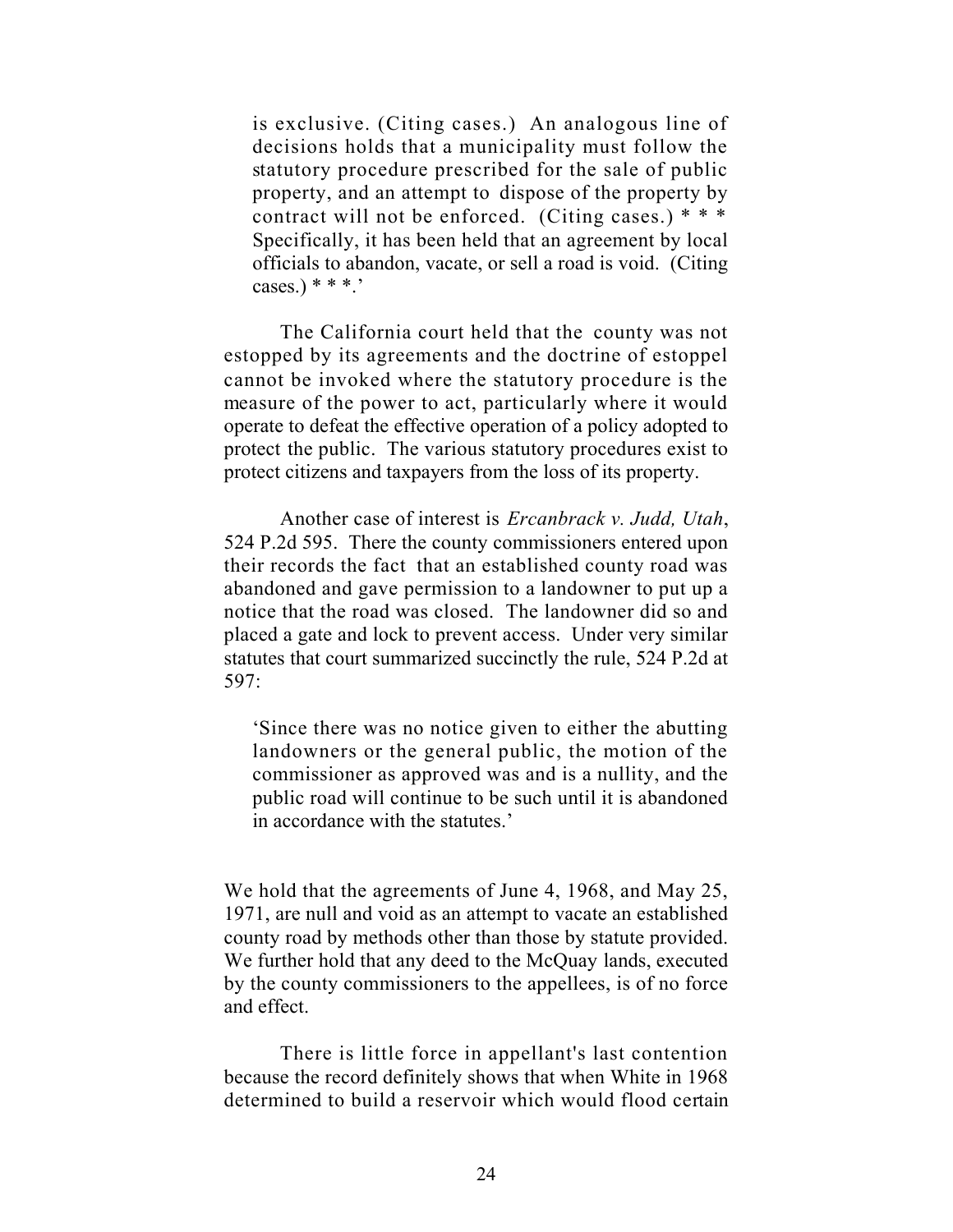is exclusive. (Citing cases.) An analogous line of decisions holds that a municipality must follow the statutory procedure prescribed for the sale of public property, and an attempt to dispose of the property by contract will not be enforced. (Citing cases.)  $***$ Specifically, it has been held that an agreement by local officials to abandon, vacate, or sell a road is void. (Citing  $cases.)$ \*\*\*.'

The California court held that the county was not estopped by its agreements and the doctrine of estoppel cannot be invoked where the statutory procedure is the measure of the power to act, particularly where it would operate to defeat the effective operation of a policy adopted to protect the public. The various statutory procedures exist to protect citizens and taxpayers from the loss of its property.

Another case of interest is *Ercanbrack v. Judd, Utah*, 524 P.2d 595. There the county commissioners entered upon their records the fact that an established county road was abandoned and gave permission to a landowner to put up a notice that the road was closed. The landowner did so and placed a gate and lock to prevent access. Under very similar statutes that court summarized succinctly the rule, 524 P.2d at 597:

'Since there was no notice given to either the abutting landowners or the general public, the motion of the commissioner as approved was and is a nullity, and the public road will continue to be such until it is abandoned in accordance with the statutes.'

We hold that the agreements of June 4, 1968, and May 25, 1971, are null and void as an attempt to vacate an established county road by methods other than those by statute provided. We further hold that any deed to the McQuay lands, executed by the county commissioners to the appellees, is of no force and effect.

There is little force in appellant's last contention because the record definitely shows that when White in 1968 determined to build a reservoir which would flood certain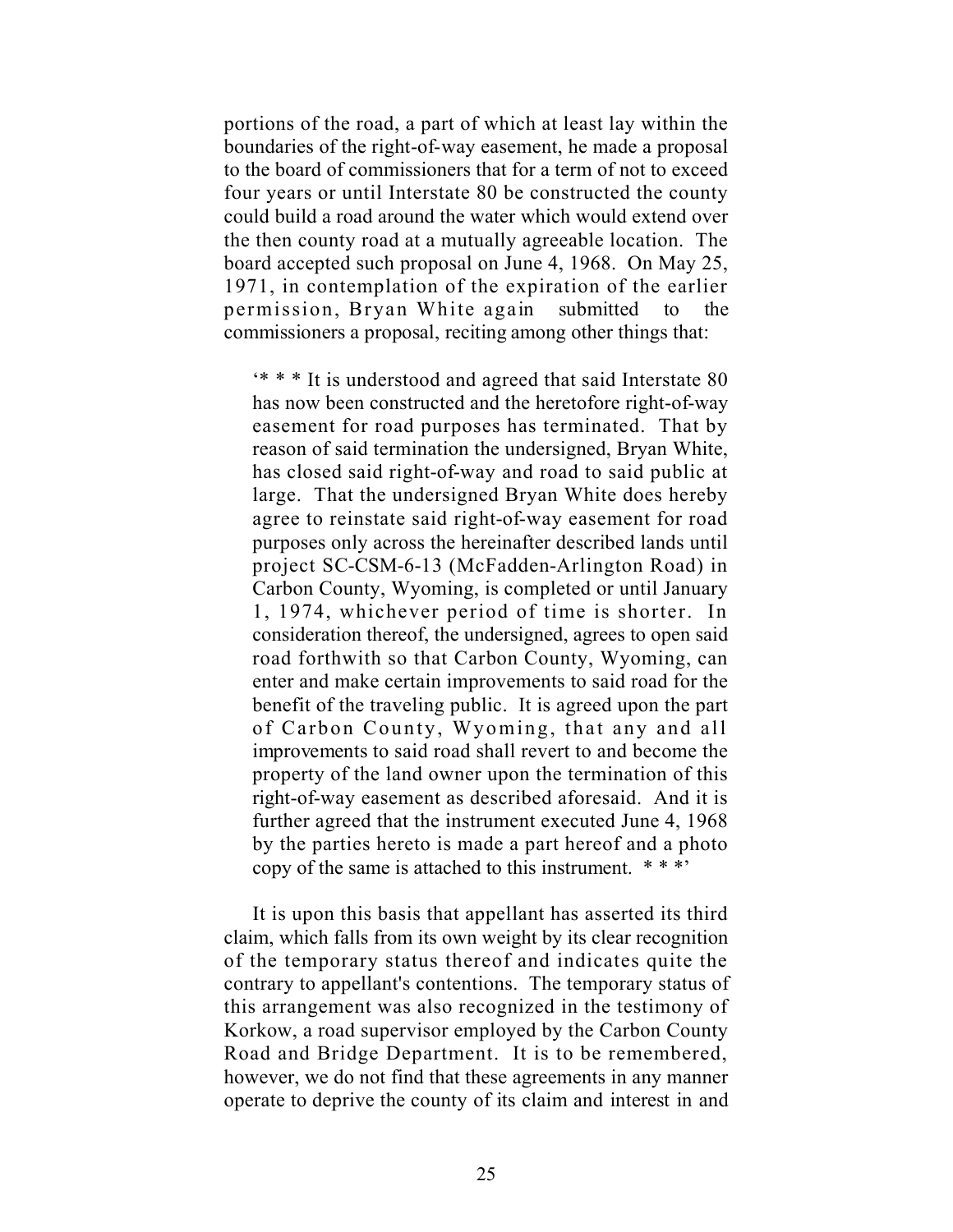portions of the road, a part of which at least lay within the boundaries of the right-of-way easement, he made a proposal to the board of commissioners that for a term of not to exceed four years or until Interstate 80 be constructed the county could build a road around the water which would extend over the then county road at a mutually agreeable location. The board accepted such proposal on June 4, 1968. On May 25, 1971, in contemplation of the expiration of the earlier permission, Bryan White again submitted to the commissioners a proposal, reciting among other things that:

'\* \* \* It is understood and agreed that said Interstate 80 has now been constructed and the heretofore right-of-way easement for road purposes has terminated. That by reason of said termination the undersigned, Bryan White, has closed said right-of-way and road to said public at large. That the undersigned Bryan White does hereby agree to reinstate said right-of-way easement for road purposes only across the hereinafter described lands until project SC-CSM-6-13 (McFadden-Arlington Road) in Carbon County, Wyoming, is completed or until January 1, 1974, whichever period of time is shorter. In consideration thereof, the undersigned, agrees to open said road forthwith so that Carbon County, Wyoming, can enter and make certain improvements to said road for the benefit of the traveling public. It is agreed upon the part of Carbon County, Wyoming, that any and all improvements to said road shall revert to and become the property of the land owner upon the termination of this right-of-way easement as described aforesaid. And it is further agreed that the instrument executed June 4, 1968 by the parties hereto is made a part hereof and a photo copy of the same is attached to this instrument. \* \* \*'

It is upon this basis that appellant has asserted its third claim, which falls from its own weight by its clear recognition of the temporary status thereof and indicates quite the contrary to appellant's contentions. The temporary status of this arrangement was also recognized in the testimony of Korkow, a road supervisor employed by the Carbon County Road and Bridge Department. It is to be remembered, however, we do not find that these agreements in any manner operate to deprive the county of its claim and interest in and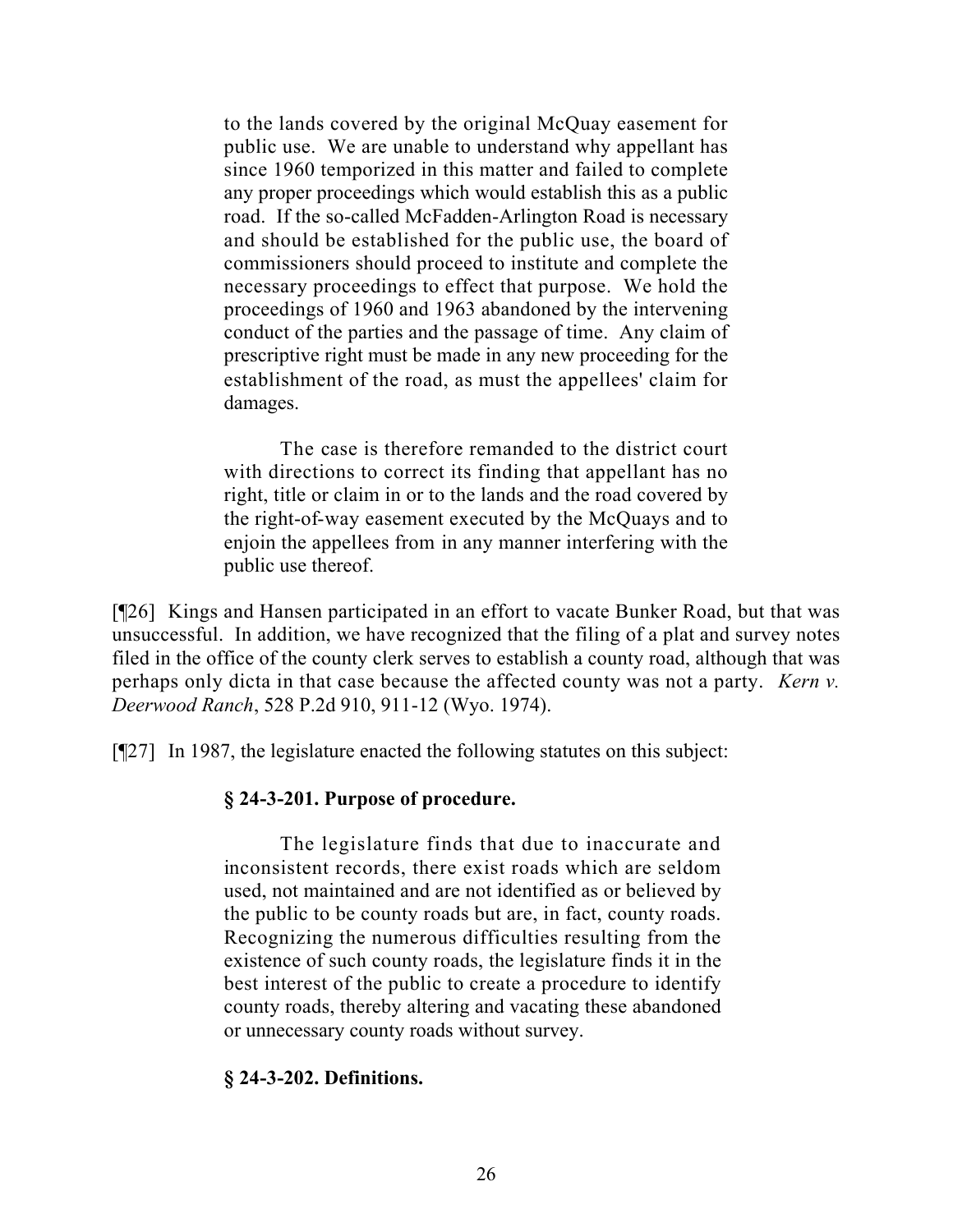to the lands covered by the original McQuay easement for public use. We are unable to understand why appellant has since 1960 temporized in this matter and failed to complete any proper proceedings which would establish this as a public road. If the so-called McFadden-Arlington Road is necessary and should be established for the public use, the board of commissioners should proceed to institute and complete the necessary proceedings to effect that purpose. We hold the proceedings of 1960 and 1963 abandoned by the intervening conduct of the parties and the passage of time. Any claim of prescriptive right must be made in any new proceeding for the establishment of the road, as must the appellees' claim for damages.

The case is therefore remanded to the district court with directions to correct its finding that appellant has no right, title or claim in or to the lands and the road covered by the right-of-way easement executed by the McQuays and to enjoin the appellees from in any manner interfering with the public use thereof.

[¶26] Kings and Hansen participated in an effort to vacate Bunker Road, but that was unsuccessful. In addition, we have recognized that the filing of a plat and survey notes filed in the office of the county clerk serves to establish a county road, although that was perhaps only dicta in that case because the affected county was not a party. *Kern v. Deerwood Ranch*, 528 P.2d 910, 911-12 (Wyo. 1974).

[¶27] In 1987, the legislature enacted the following statutes on this subject:

## **§ 24-3-201. Purpose of procedure.**

The legislature finds that due to inaccurate and inconsistent records, there exist roads which are seldom used, not maintained and are not identified as or believed by the public to be county roads but are, in fact, county roads. Recognizing the numerous difficulties resulting from the existence of such county roads, the legislature finds it in the best interest of the public to create a procedure to identify county roads, thereby altering and vacating these abandoned or unnecessary county roads without survey.

### **§ 24-3-202. Definitions.**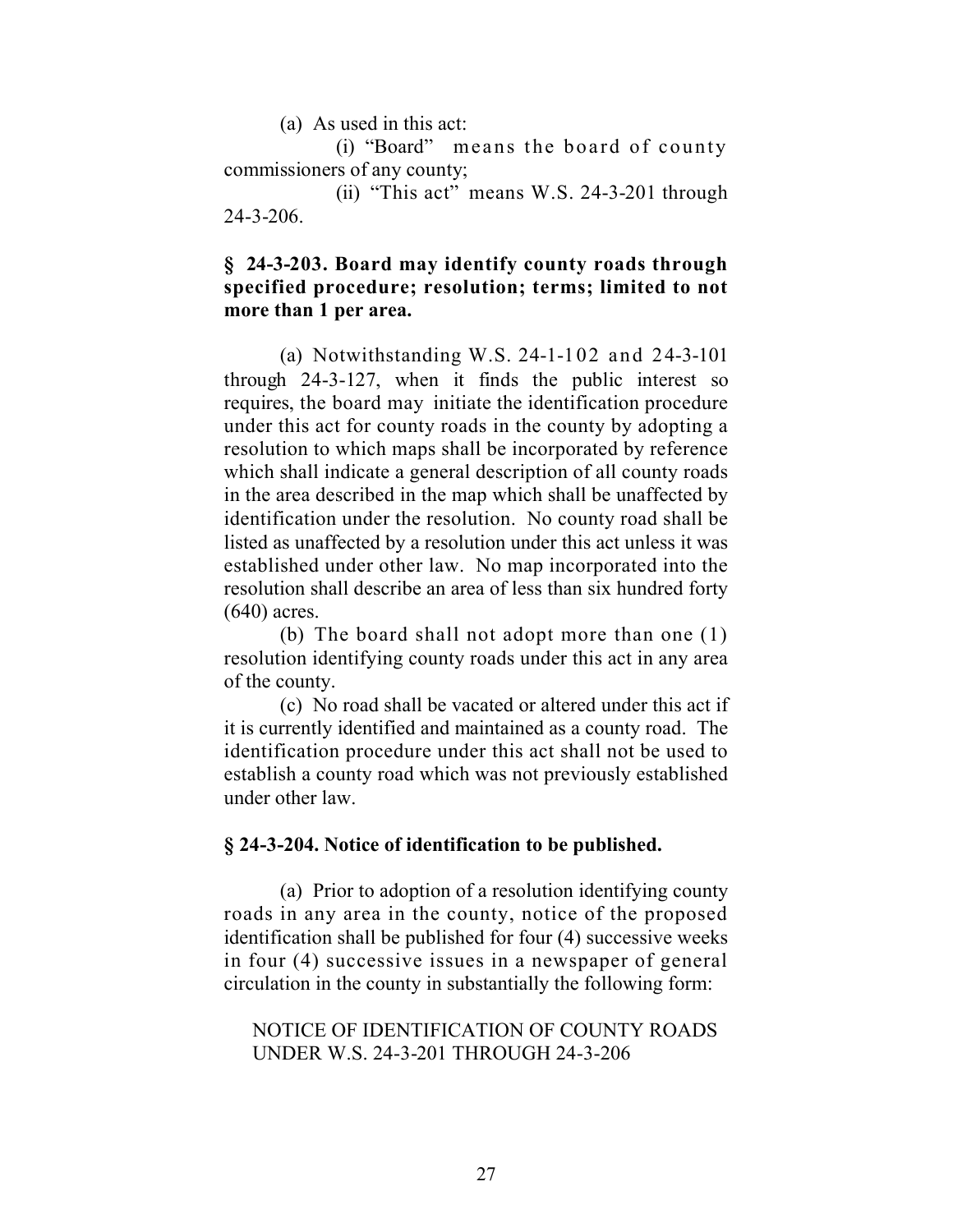(a) As used in this act:

(i) "Board" means the board of county commissioners of any county;

(ii) "This act" means W.S. 24-3-201 through 24-3-206.

### **§ 24-3-203. Board may identify county roads through specified procedure; resolution; terms; limited to not more than 1 per area.**

(a) Notwithstanding W.S. 24-1-102 and 24-3-101 through 24-3-127, when it finds the public interest so requires, the board may initiate the identification procedure under this act for county roads in the county by adopting a resolution to which maps shall be incorporated by reference which shall indicate a general description of all county roads in the area described in the map which shall be unaffected by identification under the resolution. No county road shall be listed as unaffected by a resolution under this act unless it was established under other law. No map incorporated into the resolution shall describe an area of less than six hundred forty (640) acres.

(b) The board shall not adopt more than one (1) resolution identifying county roads under this act in any area of the county.

(c) No road shall be vacated or altered under this act if it is currently identified and maintained as a county road. The identification procedure under this act shall not be used to establish a county road which was not previously established under other law.

#### **§ 24-3-204. Notice of identification to be published.**

(a) Prior to adoption of a resolution identifying county roads in any area in the county, notice of the proposed identification shall be published for four (4) successive weeks in four (4) successive issues in a newspaper of general circulation in the county in substantially the following form:

## NOTICE OF IDENTIFICATION OF COUNTY ROADS UNDER W.S. 24-3-201 THROUGH 24-3-206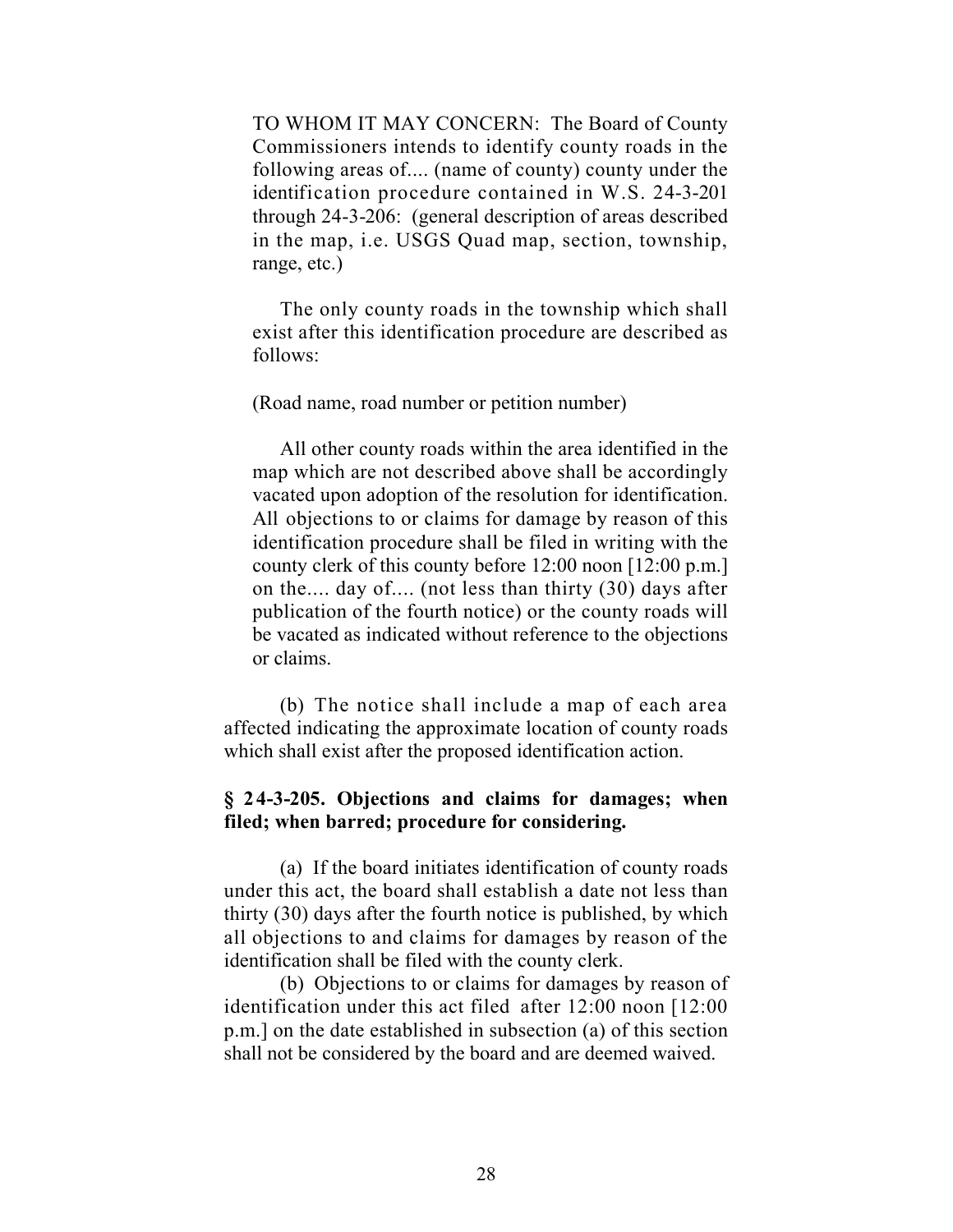TO WHOM IT MAY CONCERN: The Board of County Commissioners intends to identify county roads in the following areas of.... (name of county) county under the identification procedure contained in W.S. 24-3-201 through 24-3-206: (general description of areas described in the map, i.e. USGS Quad map, section, township, range, etc.)

The only county roads in the township which shall exist after this identification procedure are described as follows:

(Road name, road number or petition number)

All other county roads within the area identified in the map which are not described above shall be accordingly vacated upon adoption of the resolution for identification. All objections to or claims for damage by reason of this identification procedure shall be filed in writing with the county clerk of this county before 12:00 noon [12:00 p.m.] on the.... day of.... (not less than thirty (30) days after publication of the fourth notice) or the county roads will be vacated as indicated without reference to the objections or claims.

(b) The notice shall include a map of each area affected indicating the approximate location of county roads which shall exist after the proposed identification action.

## **§ 24-3-205. Objections and claims for damages; when filed; when barred; procedure for considering.**

(a) If the board initiates identification of county roads under this act, the board shall establish a date not less than thirty (30) days after the fourth notice is published, by which all objections to and claims for damages by reason of the identification shall be filed with the county clerk.

(b) Objections to or claims for damages by reason of identification under this act filed after 12:00 noon [12:00 p.m.] on the date established in subsection (a) of this section shall not be considered by the board and are deemed waived.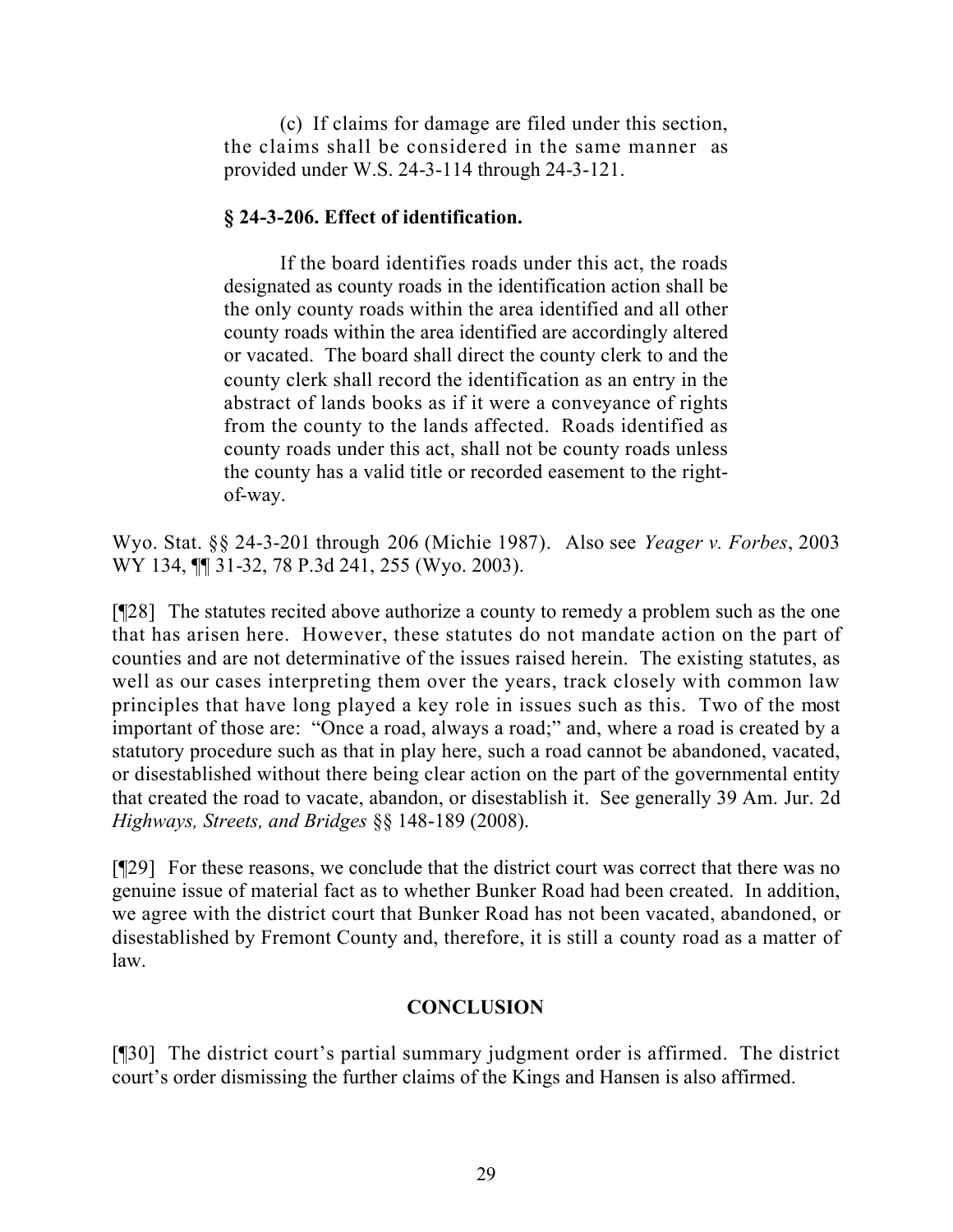(c) If claims for damage are filed under this section, the claims shall be considered in the same manner as provided under W.S. 24-3-114 through 24-3-121.

## **§ 24-3-206. Effect of identification.**

If the board identifies roads under this act, the roads designated as county roads in the identification action shall be the only county roads within the area identified and all other county roads within the area identified are accordingly altered or vacated. The board shall direct the county clerk to and the county clerk shall record the identification as an entry in the abstract of lands books as if it were a conveyance of rights from the county to the lands affected. Roads identified as county roads under this act, shall not be county roads unless the county has a valid title or recorded easement to the rightof-way.

Wyo. Stat. §§ 24-3-201 through 206 (Michie 1987). Also see *Yeager v. Forbes*, 2003 WY 134, ¶¶ 31-32, 78 P.3d 241, 255 (Wyo. 2003).

[¶28] The statutes recited above authorize a county to remedy a problem such as the one that has arisen here. However, these statutes do not mandate action on the part of counties and are not determinative of the issues raised herein. The existing statutes, as well as our cases interpreting them over the years, track closely with common law principles that have long played a key role in issues such as this. Two of the most important of those are: "Once a road, always a road;" and, where a road is created by a statutory procedure such as that in play here, such a road cannot be abandoned, vacated, or disestablished without there being clear action on the part of the governmental entity that created the road to vacate, abandon, or disestablish it. See generally 39 Am. Jur. 2d *Highways, Streets, and Bridges* §§ 148-189 (2008).

[¶29] For these reasons, we conclude that the district court was correct that there was no genuine issue of material fact as to whether Bunker Road had been created. In addition, we agree with the district court that Bunker Road has not been vacated, abandoned, or disestablished by Fremont County and, therefore, it is still a county road as a matter of law.

## **CONCLUSION**

[¶30] The district court's partial summary judgment order is affirmed. The district court's order dismissing the further claims of the Kings and Hansen is also affirmed.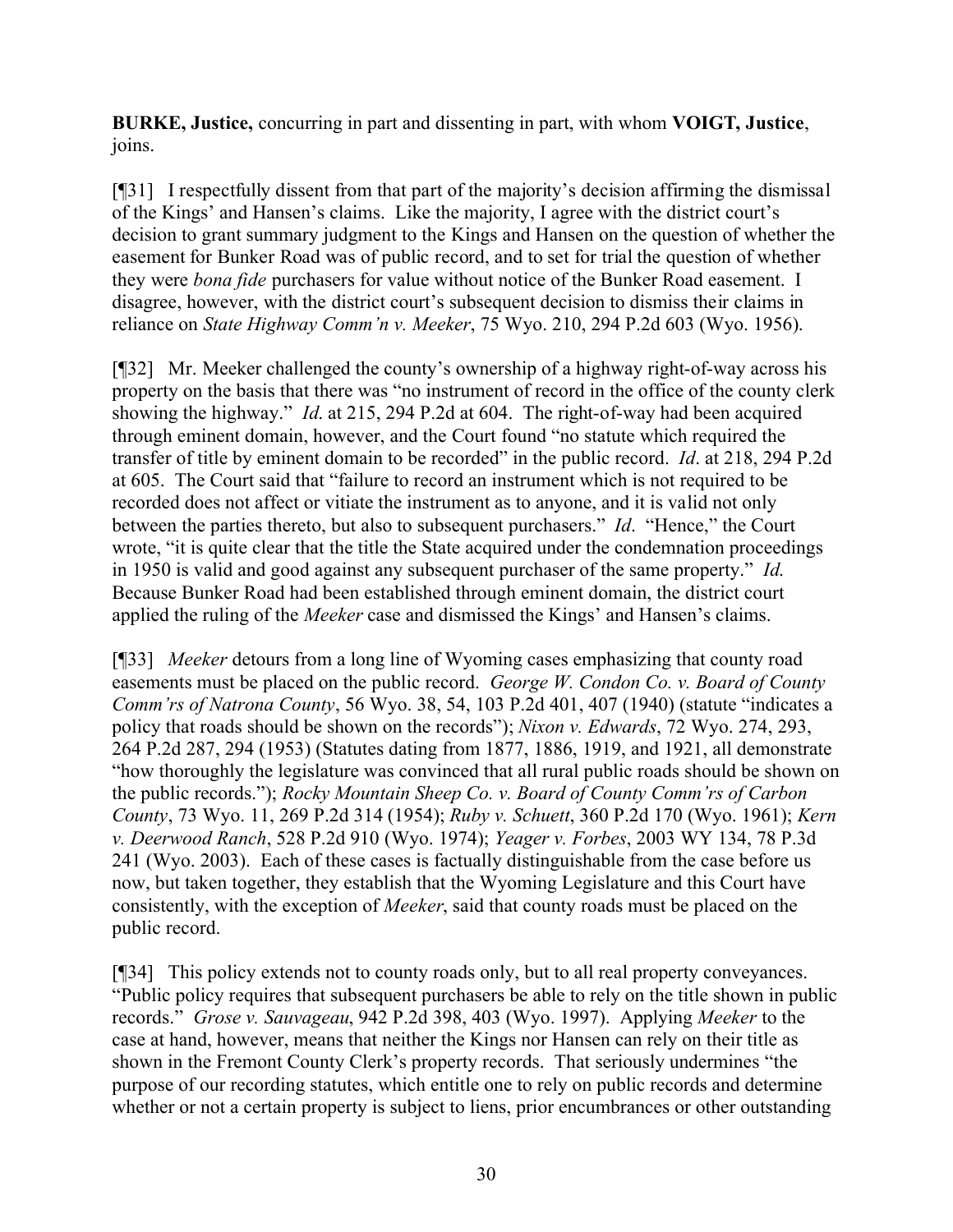**BURKE, Justice,** concurring in part and dissenting in part, with whom **VOIGT, Justice**, joins.

[¶31] I respectfully dissent from that part of the majority's decision affirming the dismissal of the Kings' and Hansen's claims. Like the majority, I agree with the district court's decision to grant summary judgment to the Kings and Hansen on the question of whether the easement for Bunker Road was of public record, and to set for trial the question of whether they were *bona fide* purchasers for value without notice of the Bunker Road easement. I disagree, however, with the district court's subsequent decision to dismiss their claims in reliance on *State Highway Comm'n v. Meeker*, 75 Wyo. 210, 294 P.2d 603 (Wyo. 1956).

[¶32] Mr. Meeker challenged the county's ownership of a highway right-of-way across his property on the basis that there was "no instrument of record in the office of the county clerk showing the highway." *Id*. at 215, 294 P.2d at 604. The right-of-way had been acquired through eminent domain, however, and the Court found "no statute which required the transfer of title by eminent domain to be recorded" in the public record. *Id*. at 218, 294 P.2d at 605. The Court said that "failure to record an instrument which is not required to be recorded does not affect or vitiate the instrument as to anyone, and it is valid not only between the parties thereto, but also to subsequent purchasers." *Id*. "Hence," the Court wrote, "it is quite clear that the title the State acquired under the condemnation proceedings in 1950 is valid and good against any subsequent purchaser of the same property." *Id*. Because Bunker Road had been established through eminent domain, the district court applied the ruling of the *Meeker* case and dismissed the Kings' and Hansen's claims.

[¶33] *Meeker* detours from a long line of Wyoming cases emphasizing that county road easements must be placed on the public record. *George W. Condon Co. v. Board of County Comm'rs of Natrona County*, 56 Wyo. 38, 54, 103 P.2d 401, 407 (1940) (statute "indicates a policy that roads should be shown on the records"); *Nixon v. Edwards*, 72 Wyo. 274, 293, 264 P.2d 287, 294 (1953) (Statutes dating from 1877, 1886, 1919, and 1921, all demonstrate "how thoroughly the legislature was convinced that all rural public roads should be shown on the public records."); *Rocky Mountain Sheep Co. v. Board of County Comm'rs of Carbon County*, 73 Wyo. 11, 269 P.2d 314 (1954); *Ruby v. Schuett*, 360 P.2d 170 (Wyo. 1961); *Kern v. Deerwood Ranch*, 528 P.2d 910 (Wyo. 1974); *Yeager v. Forbes*, 2003 WY 134, 78 P.3d 241 (Wyo. 2003). Each of these cases is factually distinguishable from the case before us now, but taken together, they establish that the Wyoming Legislature and this Court have consistently, with the exception of *Meeker*, said that county roads must be placed on the public record.

[¶34] This policy extends not to county roads only, but to all real property conveyances. "Public policy requires that subsequent purchasers be able to rely on the title shown in public records." *Grose v. Sauvageau*, 942 P.2d 398, 403 (Wyo. 1997). Applying *Meeker* to the case at hand, however, means that neither the Kings nor Hansen can rely on their title as shown in the Fremont County Clerk's property records. That seriously undermines "the purpose of our recording statutes, which entitle one to rely on public records and determine whether or not a certain property is subject to liens, prior encumbrances or other outstanding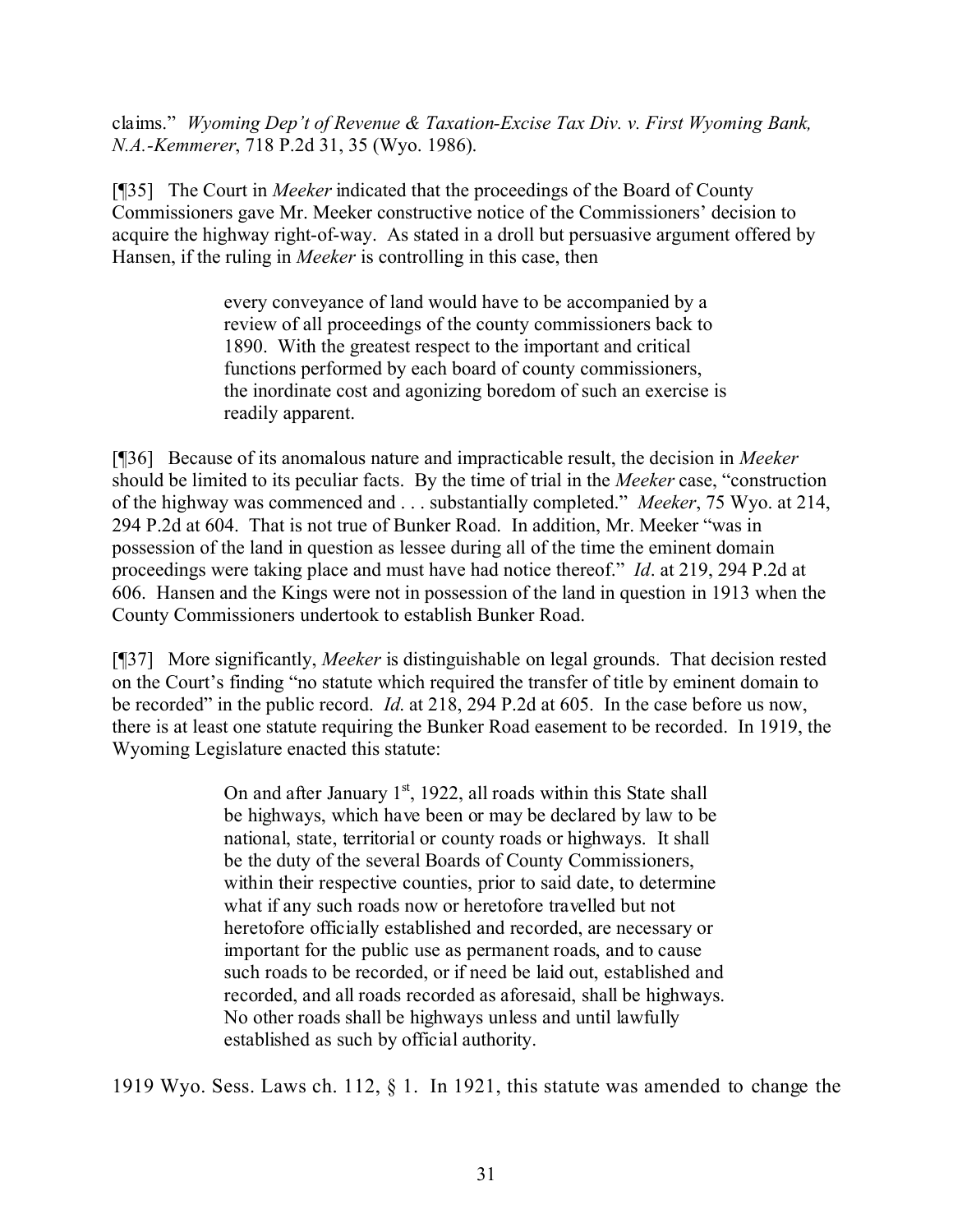claims." *Wyoming Dep't of Revenue & Taxation-Excise Tax Div. v. First Wyoming Bank, N.A.-Kemmerer*, 718 P.2d 31, 35 (Wyo. 1986).

[¶35] The Court in *Meeker* indicated that the proceedings of the Board of County Commissioners gave Mr. Meeker constructive notice of the Commissioners' decision to acquire the highway right-of-way. As stated in a droll but persuasive argument offered by Hansen, if the ruling in *Meeker* is controlling in this case, then

> every conveyance of land would have to be accompanied by a review of all proceedings of the county commissioners back to 1890. With the greatest respect to the important and critical functions performed by each board of county commissioners, the inordinate cost and agonizing boredom of such an exercise is readily apparent.

[¶36] Because of its anomalous nature and impracticable result, the decision in *Meeker* should be limited to its peculiar facts. By the time of trial in the *Meeker* case, "construction of the highway was commenced and . . . substantially completed." *Meeker*, 75 Wyo. at 214, 294 P.2d at 604. That is not true of Bunker Road. In addition, Mr. Meeker "was in possession of the land in question as lessee during all of the time the eminent domain proceedings were taking place and must have had notice thereof." *Id*. at 219, 294 P.2d at 606. Hansen and the Kings were not in possession of the land in question in 1913 when the County Commissioners undertook to establish Bunker Road.

[¶37] More significantly, *Meeker* is distinguishable on legal grounds. That decision rested on the Court's finding "no statute which required the transfer of title by eminent domain to be recorded" in the public record. *Id*. at 218, 294 P.2d at 605. In the case before us now, there is at least one statute requiring the Bunker Road easement to be recorded. In 1919, the Wyoming Legislature enacted this statute:

> On and after January  $1<sup>st</sup>$ , 1922, all roads within this State shall be highways, which have been or may be declared by law to be national, state, territorial or county roads or highways. It shall be the duty of the several Boards of County Commissioners, within their respective counties, prior to said date, to determine what if any such roads now or heretofore travelled but not heretofore officially established and recorded, are necessary or important for the public use as permanent roads, and to cause such roads to be recorded, or if need be laid out, established and recorded, and all roads recorded as aforesaid, shall be highways. No other roads shall be highways unless and until lawfully established as such by official authority.

1919 Wyo. Sess. Laws ch. 112, § 1. In 1921, this statute was amended to change the